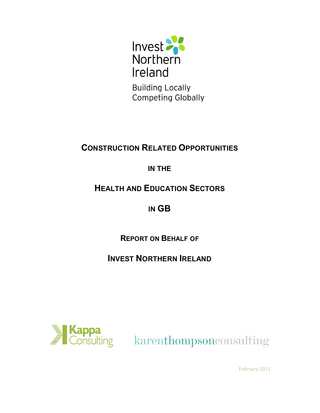

**Building Locally Competing Globally** 

# **CONSTRUCTION RELATED OPPORTUNITIES**

# **IN THE**

# **HEALTH AND EDUCATION SECTORS**

# **IN GB**

**REPORT ON BEHALF OF**

**INVEST NORTHERN IRELAND**



February 2011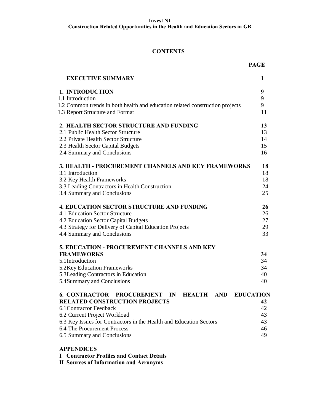**Construction Related Opportunities in the Health and Education Sectors in GB**

# **CONTENTS**

|                                                                              | <b>PAGE</b>      |
|------------------------------------------------------------------------------|------------------|
| <b>EXECUTIVE SUMMARY</b>                                                     | 1                |
| 1. INTRODUCTION                                                              | 9                |
| 1.1 Introduction                                                             | 9                |
| 1.2 Common trends in both health and education related construction projects | 9                |
| 1.3 Report Structure and Format                                              | 11               |
| 2. HEALTH SECTOR STRUCTURE AND FUNDING                                       | 13               |
| 2.1 Public Health Sector Structure                                           | 13               |
| 2.2 Private Health Sector Structure                                          | 14               |
| 2.3 Health Sector Capital Budgets                                            | 15               |
| 2.4 Summary and Conclusions                                                  | 16               |
| <b>3. HEALTH - PROCUREMENT CHANNELS AND KEY FRAMEWORKS</b>                   | 18               |
| 3.1 Introduction                                                             | 18               |
| 3.2 Key Health Frameworks                                                    | 18               |
| 3.3 Leading Contractors in Health Construction                               | 24               |
| 3.4 Summary and Conclusions                                                  | 25               |
| <b>4. EDUCATION SECTOR STRUCTURE AND FUNDING</b>                             | 26               |
| 4.1 Education Sector Structure                                               | 26               |
| 4.2 Education Sector Capital Budgets                                         | 27               |
| 4.3 Strategy for Delivery of Capital Education Projects                      | 29               |
| 4.4 Summary and Conclusions                                                  | 33               |
| 5. EDUCATION - PROCUREMENT CHANNELS AND KEY                                  |                  |
| <b>FRAMEWORKS</b>                                                            | 34               |
| 5.1 Introduction                                                             | 34               |
| 5.2Key Education Frameworks                                                  | 34               |
| 5.3 Leading Contractors in Education                                         | 40               |
| 5.4Summary and Conclusions                                                   | 40               |
| <b>6. CONTRACTOR</b><br><b>PROCUREMENT</b><br>IN<br><b>HEALTH AND</b>        | <b>EDUCATION</b> |
| <b>RELATED CONSTRUCTION PROJECTS</b>                                         | 42               |
| 6.1 Contractor Feedback                                                      | 42               |
| 6.2 Current Project Workload                                                 | 43               |
| 6.3 Key Issues for Contractors in the Health and Education Sectors           | 43               |
| 6.4 The Procurement Process                                                  | 46               |
| 6.5 Summary and Conclusions                                                  | 49               |
|                                                                              |                  |

# **APPENDICES**

**I Contractor Profiles and Contact Details**

**II Sources of Information and Acronyms**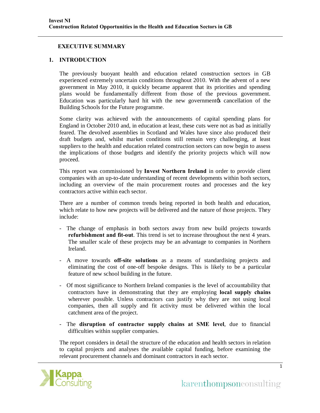# **EXECUTIVE SUMMARY**

# **1. INTRODUCTION**

The previously buoyant health and education related construction sectors in GB experienced extremely uncertain conditions throughout 2010. With the advent of a new government in May 2010, it quickly became apparent that its priorities and spending plans would be fundamentally different from those of the previous government. Education was particularly hard hit with the new government to cancellation of the Building Schools for the Future programme.

Some clarity was achieved with the announcements of capital spending plans for England in October 2010 and, in education at least, these cuts were not as bad as initially feared. The devolved assemblies in Scotland and Wales have since also produced their draft budgets and, whilst market conditions still remain very challenging, at least suppliers to the health and education related construction sectors can now begin to assess the implications of those budgets and identify the priority projects which will now proceed.

This report was commissioned by **Invest Northern Ireland** in order to provide client companies with an up-to-date understanding of recent developments within both sectors, including an overview of the main procurement routes and processes and the key contractors active within each sector.

There are a number of common trends being reported in both health and education, which relate to how new projects will be delivered and the nature of those projects. They include:

- The change of emphasis in both sectors away from new build projects towards **refurbishment and fit-out**. This trend is set to increase throughout the next 4 years. The smaller scale of these projects may be an advantage to companies in Northern Ireland.
- A move towards **off-site solutions** as a means of standardising projects and eliminating the cost of one-off bespoke designs. This is likely to be a particular feature of new school building in the future.
- Of most significance to Northern Ireland companies is the level of accountability that contractors have in demonstrating that they are employing **local supply chains** wherever possible. Unless contractors can justify why they are not using local companies, then all supply and fit activity must be delivered within the local catchment area of the project.
- The disruption of contractor supply chains at SME level, due to financial difficulties within supplier companies.

The report considers in detail the structure of the education and health sectors in relation to capital projects and analyses the available capital funding, before examining the relevant procurement channels and dominant contractors in each sector.

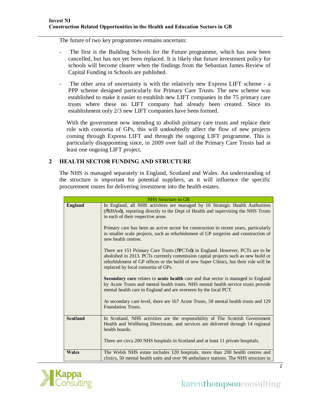The future of two key programmes remains uncertain:

- The first is the Building Schools for the Future programme, which has now been cancelled, but has not yet been replaced. It is likely that future investment policy for schools will become clearer when the findings from the Sebastian James Review of Capital Funding in Schools are published.
- The other area of uncertainty is with the relatively new Express LIFT scheme a PPP scheme designed particularly for Primary Care Trusts. The new scheme was established to make it easier to establish new LIFT companies in the 75 primary care trusts where these no LIFT company had already been created. Since its establishment only 2/3 new LIFT companies have been formed.

With the government now intending to abolish primary care trusts and replace their role with consortia of GPs, this will undoubtedly affect the flow of new projects coming through Express LIFT and through the ongoing LIFT programme. This is particularly disappointing since, in 2009 over half of the Primary Care Trusts had at least one ongoing LIFT project.

# **2 HEALTH SECTOR FUNDING AND STRUCTURE**

The NHS is managed separately in England, Scotland and Wales. An understanding of the structure is important for potential suppliers, as it will influence the specific procurement routes for delivering investment into the health estates.

|                 | <b>NHS</b> Structure in GB                                                                                                                                                                                                                                                                                                                                                                                                                                                                                                                                                                                                                                                                                                                                                                                                                                                                                                                                             |  |  |  |  |
|-----------------|------------------------------------------------------------------------------------------------------------------------------------------------------------------------------------------------------------------------------------------------------------------------------------------------------------------------------------------------------------------------------------------------------------------------------------------------------------------------------------------------------------------------------------------------------------------------------------------------------------------------------------------------------------------------------------------------------------------------------------------------------------------------------------------------------------------------------------------------------------------------------------------------------------------------------------------------------------------------|--|--|--|--|
| <b>England</b>  | In England, all NHS activities are managed by 10 Strategic Health Authorities<br>(õSHAsö), reporting directly to the Dept of Health and supervising the NHS Trusts<br>in each of their respective areas<br>Primary care has been an active sector for construction in recent years, particularly<br>in smaller scale projects, such as refurbishment of GP surgeries and construction of<br>new health centres.<br>There are 151 Primary Care Trusts (õPCTsö) in England. However, PCTs are to be<br>abolished in 2013. PCTs currently commission capital projects such as new build or<br>refurbishment of GP offices or the build of new Super Clinics, but their role will be<br>replaced by local consortia of GPs.<br>Secondary care relates to acute health care and that sector is managed in England<br>by Acute Trusts and mental health trusts. NHS mental health service trusts provide<br>mental health care in England and are overseen by the local PCT. |  |  |  |  |
|                 | At secondary care level, there are 167 Acute Trusts, 58 mental health trusts and 129<br><b>Foundation Trusts.</b>                                                                                                                                                                                                                                                                                                                                                                                                                                                                                                                                                                                                                                                                                                                                                                                                                                                      |  |  |  |  |
| <b>Scotland</b> | In Scotland, NHS activities are the responsibility of The Scottish Government<br>Health and Wellbeing Directorate, and services are delivered through 14 regional<br>health boards.<br>There are circa 200 NHS hospitals in Scotland and at least 11 private hospitals.                                                                                                                                                                                                                                                                                                                                                                                                                                                                                                                                                                                                                                                                                                |  |  |  |  |
| <b>Wales</b>    | The Welsh NHS estate includes 120 hospitals, more than 200 health centres and<br>clinics, 50 mental health units and over 90 ambulance stations. The NHS structure in                                                                                                                                                                                                                                                                                                                                                                                                                                                                                                                                                                                                                                                                                                                                                                                                  |  |  |  |  |

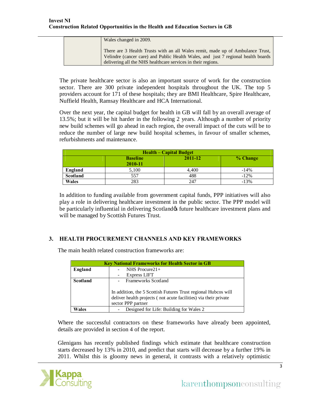| Wales changed in 2009.                                                                                                                                                                                                              |
|-------------------------------------------------------------------------------------------------------------------------------------------------------------------------------------------------------------------------------------|
| There are 3 Health Trusts with an all Wales remit, made up of Ambulance Trust,<br>Velindre (cancer care) and Public Health Wales, and just 7 regional health boards<br>delivering all the NHS healthcare services in their regions. |

The private healthcare sector is also an important source of work for the construction sector. There are 300 private independent hospitals throughout the UK. The top 5 providers account for 171 of these hospitals; they are BMI Healthcare, Spire Healthcare, Nuffield Health, Ramsay Healthcare and HCA International.

Over the next year, the capital budget for health in GB will fall by an overall average of 13.5%; but it will be hit harder in the following 2 years. Although a number of priority new build schemes will go ahead in each region, the overall impact of the cuts will be to reduce the number of large new build hospital schemes, in favour of smaller schemes, refurbishments and maintenance.

| <b>Health – Capital Budget</b>                    |       |       |        |  |  |
|---------------------------------------------------|-------|-------|--------|--|--|
| 2011-12<br><b>Baseline</b><br>% Change<br>2010-11 |       |       |        |  |  |
| <b>England</b>                                    | 5,100 | 4.400 | $-14%$ |  |  |
| Scotland                                          | 557   | 488   | $-12%$ |  |  |
| <b>Wales</b>                                      | 283   | 247   | $-13%$ |  |  |

In addition to funding available from government capital funds, PPP initiatives will also play a role in delivering healthcare investment in the public sector. The PPP model will be particularly influential in delivering Scotland& future healthcare investment plans and will be managed by Scottish Futures Trust.

# **3. HEALTH PROCUREMENT CHANNELS AND KEY FRAMEWORKS**

| <b>Key National Frameworks for Health Sector in GB</b> |                                                                                                                                                          |  |  |  |
|--------------------------------------------------------|----------------------------------------------------------------------------------------------------------------------------------------------------------|--|--|--|
| England                                                | NHS Procure $21+$                                                                                                                                        |  |  |  |
|                                                        | <b>Express LIFT</b>                                                                                                                                      |  |  |  |
| <b>Scotland</b>                                        | <b>Frameworks Scotland</b>                                                                                                                               |  |  |  |
|                                                        | In addition, the 5 Scottish Futures Trust regional Hubcos will<br>deliver health projects (not acute facilities) via their private<br>sector PPP partner |  |  |  |
| Wales                                                  | Designed for Life: Building for Wales 2                                                                                                                  |  |  |  |

The main health related construction frameworks are:

Where the successful contractors on these frameworks have already been appointed, details are provided in section 4 of the report.

Glenigans has recently published findings which estimate that healthcare construction starts decreased by 13% in 2010, and predict that starts will decrease by a further 19% in 2011. Whilst this is gloomy news in general, it contrasts with a relatively optimistic



3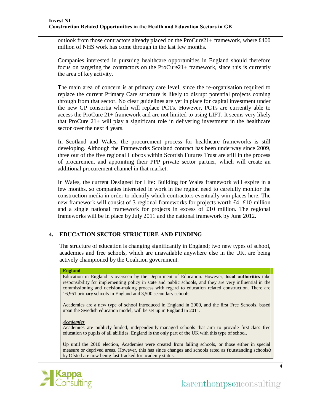outlook from those contractors already placed on the ProCure21+ framework, where £400 million of NHS work has come through in the last few months.

Companies interested in pursuing healthcare opportunities in England should therefore focus on targeting the contractors on the ProCure21+ framework, since this is currently the area of key activity.

The main area of concern is at primary care level, since the re-organisation required to replace the current Primary Care structure is likely to disrupt potential projects coming through from that sector. No clear guidelines are yet in place for capital investment under the new GP consortia which will replace PCTs. However, PCTs are currently able to access the ProCure 21+ framework and are not limited to using LIFT. It seems very likely that ProCure 21+ will play a significant role in delivering investment in the healthcare sector over the next 4 years.

In Scotland and Wales, the procurement process for healthcare frameworks is still developing. Although the Frameworks Scotland contract has been underway since 2009, three out of the five regional Hubcos within Scottish Futures Trust are still in the process of procurement and appointing their PPP private sector partner, which will create an additional procurement channel in that market.

In Wales, the current Designed for Life: Building for Wales framework will expire in a few months, so companies interested in work in the region need to carefully monitor the construction media in order to identify which contractors eventually win places here. The new framework will consist of 3 regional frameworks for projects worth £4 -£10 million and a single national framework for projects in excess of £10 million. The regional frameworks will be in place by July 2011 and the national framework by June 2012.

# **4. EDUCATION SECTOR STRUCTURE AND FUNDING**

The structure of education is changing significantly in England; two new types of school, academies and free schools, which are unavailable anywhere else in the UK, are being actively championed by the Coalition government.

#### **England**

Education in England is overseen by the Department of Education. However, **local authorities** take responsibility for implementing policy in state and public schools, and they are very influential in the commissioning and decision-making process with regard to education related construction. There are 16,951 primary schools in England and 3,500 secondary schools.

Academies are a new type of school introduced in England in 2000, and the first Free Schools, based upon the Swedish education model, will be set up in England in 2011.

#### *Academies*

Academies are publicly-funded, independently-managed schools that aim to provide first-class free education to pupils of all abilities. England is the only part of the UK with this type of school.

Up until the 2010 election, Academies were created from failing schools, or those either in special measure or deprived areas. However, this has since changes and schools rated as õoutstanding schoolsö by Ofsted are now being fast-tracked for academy status.

### $\equiv$  III  $\sqrt{2}$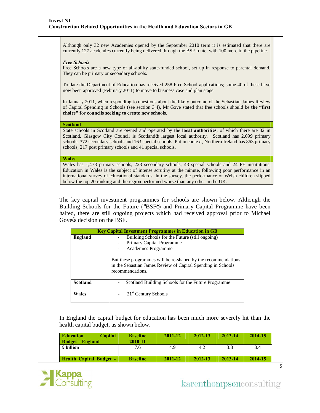Although only 32 new Academies opened by the September 2010 term it is estimated that there are currently 127 academies currently being delivered through the BSF route, with 100 more in the pipeline.

#### *Free Schools*

Free Schools are a new type of all-ability state-funded school, set up in response to parental demand. They can be primary or secondary schools.

To date the Department of Education has received 258 Free School applications; some 40 of these have now been approved (February 2011) to move to business case and plan stage.

In January 2011, when responding to questions about the likely outcome of the Sebastian James Review of Capital Spending in Schools (see section 3.4), Mr Gove stated that free schools should be **the "first choice" for councils seeking to create new schools.**

**Scotland**

State schools in Scotland are owned and operated by the **local authorities**, of which there are 32 in Scotland. Glasgow City Council is Scotland & largest local authority. Scotland has 2,099 primary schools, 372 secondary schools and 163 special schools. Put in context, Northern Ireland has 863 primary schools, 217 post primary schools and 41 special schools.

**Wales**

Wales has 1,478 primary schools, 223 secondary schools, 43 special schools and 24 FE institutions. Education in Wales is the subject of intense scrutiny at the minute, following poor performance in an international survey of educational standards. In the survey, the performance of Welsh children slipped below the top 20 ranking and the region performed worse than any other in the UK.

The key capital investment programmes for schools are shown below. Although the Building Schools for the Future ( $\delta$ BSF $\ddot{\sigma}$ ) and Primary Capital Programme have been halted, there are still ongoing projects which had received approval prior to Michael Gove $\alpha$  decision on the BSF.

|                 | <b>Key Capital Investment Programmes in Education in GB</b>                                                                                       |  |  |  |
|-----------------|---------------------------------------------------------------------------------------------------------------------------------------------------|--|--|--|
| England         | Building Schools for the Future (still ongoing)                                                                                                   |  |  |  |
|                 | Primary Capital Programme                                                                                                                         |  |  |  |
|                 | Academies Programme                                                                                                                               |  |  |  |
|                 | But these programmes will be re-shaped by the recommendations<br>in the Sebastian James Review of Capital Spending in Schools<br>recommendations. |  |  |  |
| <b>Scotland</b> | Scotland Building Schools for the Future Programme                                                                                                |  |  |  |
| Wales           | $21st$ Century Schools                                                                                                                            |  |  |  |

In England the capital budget for education has been much more severely hit than the health capital budget, as shown below.

| <b>Education</b><br><b>Capital</b><br><b>Budget – England</b> | <b>Baseline</b><br>2010-11 | 2011-12 | 2012-13 | 2013-14 | 2014-15 |
|---------------------------------------------------------------|----------------------------|---------|---------|---------|---------|
| £ billion                                                     | 7.6                        | 4.9     | 4.2     | 3.3     | 3.4     |
| <b>Health Capital Budget -</b>                                | <b>Baseline</b>            | 2011-12 | 2012-13 | 2013-14 | 2014-15 |

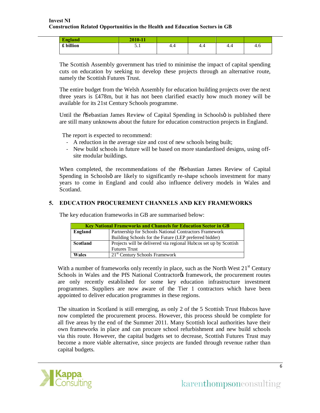| £ngland   | 2010-11                                  |     |     |     |     |
|-----------|------------------------------------------|-----|-----|-----|-----|
| £ billion | $\boldsymbol{\mathsf{u}}\cdot\mathbf{r}$ | 4.4 | 4.4 | 4.4 | 4.0 |
|           |                                          |     |     |     |     |

The Scottish Assembly government has tried to minimise the impact of capital spending cuts on education by seeking to develop these projects through an alternative route, namely the Scottish Futures Trust.

The entire budget from the Welsh Assembly for education building projects over the next three years is £478m, but it has not been clarified exactly how much money will be available for its 21st Century Schools programme.

Until the  $\tilde{\text{S}}$ ebastian James Review of Capital Spending in Schoolsö is published there are still many unknowns about the future for education construction projects in England.

The report is expected to recommend:

- A reduction in the average size and cost of new schools being built;
- New build schools in future will be based on more standardised designs, using offsite modular buildings.

When completed, the recommendations of the  $\tilde{o}$ Sebastian James Review of Capital Spending in Schoolsö are likely to significantly re-shape schools investment for many years to come in England and could also influence delivery models in Wales and Scotland.

# **5. EDUCATION PROCUREMENT CHANNELS AND KEY FRAMEWORKS**

| <b>Key National Frameworks and Channels for Education Sector in GB</b> |                                                                   |  |  |
|------------------------------------------------------------------------|-------------------------------------------------------------------|--|--|
| England                                                                | Partnership for Schools National Contractors Framework            |  |  |
|                                                                        | Building Schools for the Future (LEP preferred bidder)            |  |  |
| <b>Scotland</b>                                                        | Projects will be delivered via regional Hubcos set up by Scottish |  |  |
|                                                                        | <b>Futures Trust</b>                                              |  |  |
| Wales                                                                  | 21 <sup>st</sup> Century Schools Framework                        |  |  |

The key education frameworks in GB are summarised below:

With a number of frameworks only recently in place, such as the North West  $21<sup>st</sup>$  Century Schools in Wales and the PfS National Contractores framework, the procurement routes are only recently established for some key education infrastructure investment programmes. Suppliers are now aware of the Tier 1 contractors which have been appointed to deliver education programmes in these regions.

The situation in Scotland is still emerging, as only 2 of the 5 Scottish Trust Hubcos have now completed the procurement process. However, this process should be complete for all five areas by the end of the Summer 2011. Many Scottish local authorities have their own frameworks in place and can procure school refurbishment and new build schools via this route. However, the capital budgets set to decrease, Scottish Futures Trust may become a more viable alternative, since projects are funded through revenue rather than capital budgets.



6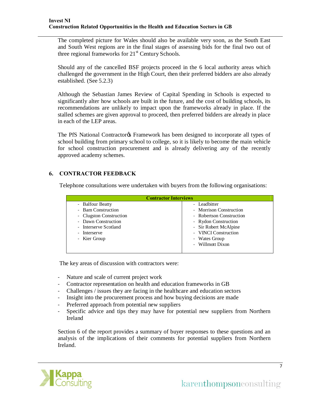The completed picture for Wales should also be available very soon, as the South East and South West regions are in the final stages of assessing bids for the final two out of three regional frameworks for  $21<sup>st</sup>$  Century Schools.

Should any of the cancelled BSF projects proceed in the 6 local authority areas which challenged the government in the High Court, then their preferred bidders are also already established. (See 5.2.3)

Although the Sebastian James Review of Capital Spending in Schools is expected to significantly alter how schools are built in the future, and the cost of building schools, its recommendations are unlikely to impact upon the frameworks already in place. If the stalled schemes are given approval to proceed, then preferred bidders are already in place in each of the LEP areas.

The PfS National Contractor<sub>o</sub> Framework has been designed to incorporate all types of school building from primary school to college, so it is likely to become the main vehicle for school construction procurement and is already delivering any of the recently approved academy schemes.

# **6. CONTRACTOR FEEDBACK**

Telephone consultations were undertaken with buyers from the following organisations:

| <b>Contractor Interviews</b> |                          |  |  |  |
|------------------------------|--------------------------|--|--|--|
| - Balfour Beatty             | - Leadbitter             |  |  |  |
| - Bam Construction           | - Morrison Construction  |  |  |  |
| - Clugston Construction      | - Robertson Construction |  |  |  |
| - Dawn Construction          | - Rydon Construction     |  |  |  |
| - Interserve Scotland        | - Sir Robert McAlpine    |  |  |  |
| - Interserve                 | - VINCI Construction     |  |  |  |
| - Kier Group                 | - Wates Group            |  |  |  |
|                              | - Willmott Dixon         |  |  |  |
|                              |                          |  |  |  |

The key areas of discussion with contractors were:

- Nature and scale of current project work
- Contractor representation on health and education frameworks in GB
- Challenges / issues they are facing in the healthcare and education sectors
- Insight into the procurement process and how buying decisions are made
- Preferred approach from potential new suppliers
- Specific advice and tips they may have for potential new suppliers from Northern Ireland

Section 6 of the report provides a summary of buyer responses to these questions and an analysis of the implications of their comments for potential suppliers from Northern Ireland.



7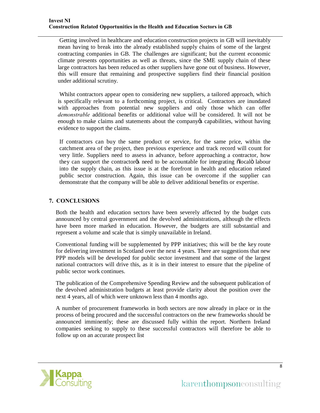Getting involved in healthcare and education construction projects in GB will inevitably mean having to break into the already established supply chains of some of the largest contracting companies in GB. The challenges are significant; but the current economic climate presents opportunities as well as threats, since the SME supply chain of these large contractors has been reduced as other suppliers have gone out of business. However, this will ensure that remaining and prospective suppliers find their financial position under additional scrutiny.

Whilst contractors appear open to considering new suppliers, a tailored approach, which is specifically relevant to a forthcoming project, is critical. Contractors are inundated with approaches from potential new suppliers and only those which can offer *demonstrable* additional benefits or additional value will be considered. It will not be enough to make claims and statements about the company to capabilities, without having evidence to support the claims.

If contractors can buy the same product or service, for the same price, within the catchment area of the project, then previous experience and track record will count for very little. Suppliers need to assess in advance, before approaching a contractor, how they can support the contractor os need to be accountable for integrating  $\delta$ local abour into the supply chain, as this issue is at the forefront in health and education related public sector construction. Again, this issue can be overcome if the supplier can demonstrate that the company will be able to deliver additional benefits or expertise.

# **7. CONCLUSIONS**

Both the health and education sectors have been severely affected by the budget cuts announced by central government and the devolved administrations, although the effects have been more marked in education. However, the budgets are still substantial and represent a volume and scale that is simply unavailable in Ireland.

Conventional funding will be supplemented by PPP initiatives; this will be the key route for delivering investment in Scotland over the next 4 years. There are suggestions that new PPP models will be developed for public sector investment and that some of the largest national contractors will drive this, as it is in their interest to ensure that the pipeline of public sector work continues.

The publication of the Comprehensive Spending Review and the subsequent publication of the devolved administration budgets at least provide clarity about the position over the next 4 years, all of which were unknown less than 4 months ago.

A number of procurement frameworks in both sectors are now already in place or in the process of being procured and the successful contractors on the new frameworks should be announced imminently; these are discussed fully within the report. Northern Ireland companies seeking to supply to these successful contractors will therefore be able to follow up on an accurate prospect list

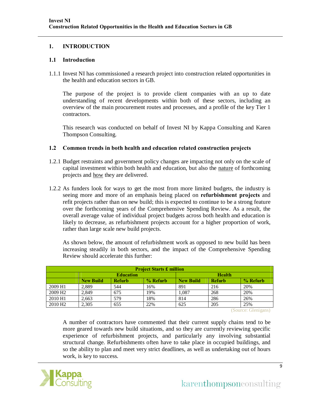# **1. INTRODUCTION**

# **1.1 Introduction**

1.1.1 Invest NI has commissioned a research project into construction related opportunities in the health and education sectors in GB.

The purpose of the project is to provide client companies with an up to date understanding of recent developments within both of these sectors, including an overview of the main procurement routes and processes, and a profile of the key Tier 1 contractors.

This research was conducted on behalf of Invest NI by Kappa Consulting and Karen Thompson Consulting.

# **1.2 Common trends in both health and education related construction projects**

- 1.2.1 Budget restraints and government policy changes are impacting not only on the scale of capital investment within both health and education, but also the nature of forthcoming projects and how they are delivered.
- 1.2.2 As funders look for ways to get the most from more limited budgets, the industry is seeing more and more of an emphasis being placed on **refurbishment projects** and refit projects rather than on new build; this is expected to continue to be a strong feature over the forthcoming years of the Comprehensive Spending Review. As a result, the overall average value of individual project budgets across both health and education is likely to decrease, as refurbishment projects account for a higher proportion of work, rather than large scale new build projects.

As shown below, the amount of refurbishment work as opposed to new build has been increasing steadily in both sectors, and the impact of the Comprehensive Spending Review should accelerate this further:

| <b>Project Starts £ million</b> |                  |               |             |                  |               |          |  |
|---------------------------------|------------------|---------------|-------------|------------------|---------------|----------|--|
|                                 | <b>Education</b> |               |             |                  | <b>Health</b> |          |  |
|                                 | <b>New Build</b> | <b>Refurb</b> | $\%$ Refurb | <b>New Build</b> | <b>Refurb</b> | % Refurb |  |
| 2009 H1                         | 2.889            | 544           | 16%         | -891             | 216           | 20%      |  |
| 2009 H <sub>2</sub>             | 2.849            | 675           | 19%         | 1.087            | 268           | 20%      |  |
| 2010 H1                         | 2.663            | 579           | 18%         | 814              | 286           | 26%      |  |
| 2010 H <sub>2</sub>             | 2.305            | 655           | 22%         | 625              | 205           | 25%      |  |

(Source: Glenigans)

A number of contractors have commented that their current supply chains tend to be more geared towards new build situations, and so they are currently reviewing specific experience of refurbishment projects, and particularly any involving substantial structural change. Refurbishments often have to take place in occupied buildings, and so the ability to plan and meet very strict deadlines, as well as undertaking out of hours work, is key to success.

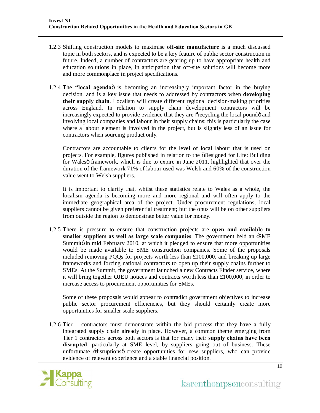- 1.2.3 Shifting construction models to maximise **off-site manufacture** is a much discussed topic in both sectors, and is expected to be a key feature of public sector construction in future. Indeed, a number of contractors are gearing up to have appropriate health and education solutions in place, in anticipation that off-site solutions will become more and more commonplace in project specifications.
- 1.2.4 The "**local agenda**" is becoming an increasingly important factor in the buying decision, and is a key issue that needs to addressed by contractors when **developing their supply chain**. Localism will create different regional decision-making priorities across England. In relation to supply chain development contractors will be increasingly expected to provide evidence that they are or recycling the local poundo and involving local companies and labour in their supply chains; this is particularly the case where a labour element is involved in the project, but is slightly less of an issue for contractors when sourcing product only.

Contractors are accountable to clients for the level of local labour that is used on projects. For example, figures published in relation to the "Designed for Life: Building for Walesö framework, which is due to expire in June 2011, highlighted that over the duration of the framework 71% of labour used was Welsh and 60% of the construction value went to Welsh suppliers.

It is important to clarify that, whilst these statistics relate to Wales as a whole, the localism agenda is becoming more and more regional and will often apply to the immediate geographical area of the project. Under procurement regulations, local suppliers cannot be given preferential treatment; but the onus will be on other suppliers from outside the region to demonstrate better value for money.

1.2.5 There is pressure to ensure that construction projects are **open and available to smaller suppliers as well as large scale companies**. The government held an 'SME Summit in mid February 2010, at which it pledged to ensure that more opportunities would be made available to SME construction companies. Some of the proposals included removing PQQs for projects worth less than  $£100,000$ , and breaking up large frameworks and forcing national contractors to open up their supply chains further to SMEs. At the Summit, the government launched a new Contracts Finder service, where it will bring together OJEU notices and contracts worth less than  $£100,000$ , in order to increase access to procurement opportunities for SMEs.

Some of these proposals would appear to contradict government objectives to increase public sector procurement efficiencies, but they should certainly create more opportunities for smaller scale suppliers.

1.2.6 Tier 1 contractors must demonstrate within the bid process that they have a fully integrated supply chain already in place. However, a common theme emerging from Tier 1 contractors across both sectors is that for many their **supply chains have been disrupted**, particularly at SME level, by suppliers going out of business. These unfortunate -disruptions ocreate opportunities for new suppliers, who can provide evidence of relevant experience and a stable financial position.

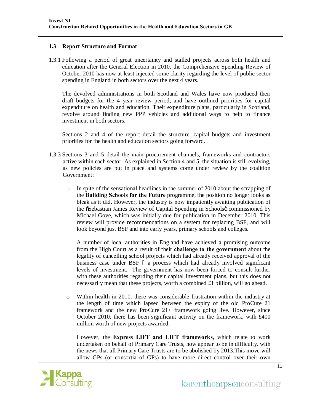# **1.3 Report Structure and Format**

1.3.1 Following a period of great uncertainty and stalled projects across both health and education after the General Election in 2010, the Comprehensive Spending Review of October 2010 has now at least injected some clarity regarding the level of public sector spending in England in both sectors over the next 4 years.

The devolved administrations in both Scotland and Wales have now produced their draft budgets for the 4 year review period, and have outlined priorities for capital expenditure on health and education. Their expenditure plans, particularly in Scotland, revolve around finding new PPP vehicles and additional ways to help to finance investment in both sectors.

Sections 2 and 4 of the report detail the structure, capital budgets and investment priorities for the health and education sectors going forward.

- 1.3.3 Sections 3 and 5 detail the main procurement channels, frameworks and contractors active within each sector. As explained in Section 4 and 5, the situation is still evolving, as new policies are put in place and systems come under review by the coalition Government:
	- o In spite of the sensational headlines in the summer of 2010 about the scrapping of the **Building Schools for the Future** programme, the position no longer looks as bleak as it did. However, the industry is now impatiently awaiting publication of the  $\tilde{o}$ Sebastian James Review of Capital Spending in Schools $\ddot{o}$  commissioned by Michael Gove, which was initially due for publication in December 2010. This review will provide recommendations on a system for replacing BSF, and will look beyond just BSF and into early years, primary schools and colleges.

A number of local authorities in England have achieved a promising outcome from the High Court as a result of their **challenge to the government** about the legality of cancelling school projects which had already received approval of the business case under BSF 6 a process which had already involved significant levels of investment. The government has now been forced to consult further with these authorities regarding their capital investment plans, but this does not necessarily mean that these projects, worth a combined £1 billion, will go ahead.

o Within health in 2010, there was considerable frustration within the industry at the length of time which lapsed between the expiry of the old ProCure 21 framework and the new ProCure 21+ framework going live. However, since October 2010, there has been significant activity on the framework, with £400 million worth of new projects awarded.

However, the **Express LIFT and LIFT frameworks**, which relate to work undertaken on behalf of Primary Care Trusts, now appear to be in difficulty, with the news that all Primary Care Trusts are to be abolished by 2013.This move will allow GPs (or consortia of GPs) to have more direct control over their own

### $\equiv$  IV  $\sim$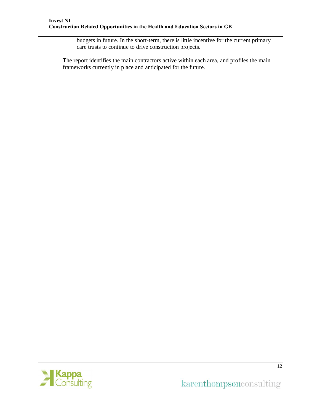budgets in future. In the short-term, there is little incentive for the current primary care trusts to continue to drive construction projects.

The report identifies the main contractors active within each area, and profiles the main frameworks currently in place and anticipated for the future.



karenthompsonconsulting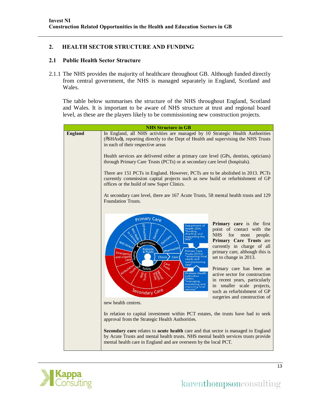# **2. HEALTH SECTOR STRUCTURE AND FUNDING**

# **2.1 Public Health Sector Structure**

2.1.1 The NHS provides the majority of healthcare throughout GB. Although funded directly from central government, the NHS is managed separately in England, Scotland and Wales.

The table below summarises the structure of the NHS throughout England, Scotland and Wales. It is important to be aware of NHS structure at trust and regional board level, as these are the players likely to be commissioning new construction projects.

|                | <b>NHS Structure in GB</b>                                                                                                                                                                                                                                                                                                                                                                                                                                                                                                                                |                                                                                                                                                                                                                                                                                                                                                                                                                         |  |  |
|----------------|-----------------------------------------------------------------------------------------------------------------------------------------------------------------------------------------------------------------------------------------------------------------------------------------------------------------------------------------------------------------------------------------------------------------------------------------------------------------------------------------------------------------------------------------------------------|-------------------------------------------------------------------------------------------------------------------------------------------------------------------------------------------------------------------------------------------------------------------------------------------------------------------------------------------------------------------------------------------------------------------------|--|--|
| <b>England</b> | In England, all NHS activities are managed by 10 Strategic Health Authorities<br>(õSHAsö), reporting directly to the Dept of Health and supervising the NHS Trusts<br>in each of their respective areas<br>Health services are delivered either at primary care level (GPs, dentists, opticians)<br>through Primary Care Trusts (PCTs) or at secondary care level (hospitals).                                                                                                                                                                            |                                                                                                                                                                                                                                                                                                                                                                                                                         |  |  |
|                |                                                                                                                                                                                                                                                                                                                                                                                                                                                                                                                                                           |                                                                                                                                                                                                                                                                                                                                                                                                                         |  |  |
|                | There are 151 PCTs in England. However, PCTs are to be abolished in 2013. PCTs<br>currently commission capital projects such as new build or refurbishment of GP<br>offices or the build of new Super Clinics.                                                                                                                                                                                                                                                                                                                                            |                                                                                                                                                                                                                                                                                                                                                                                                                         |  |  |
|                | At secondary care level, there are 167 Acute Trusts, 58 mental health trusts and 129<br><b>Foundation Trusts.</b>                                                                                                                                                                                                                                                                                                                                                                                                                                         |                                                                                                                                                                                                                                                                                                                                                                                                                         |  |  |
|                | <b>Primary Care</b><br>Department of<br>Health (DH)<br>Dentists<br>"funding,<br>directing and<br>supporting the<br>Opticians<br>NHS <sup>1</sup><br>nformation<br><b>NHS Direct</b><br>Pharmacists<br>Patients<br><b>Primary Care</b><br>mergency<br>Trusts (PCTs)<br>"assessing local<br>and urgen<br>Choice<br>Care.<br>needs and<br>commissioning<br>Care<br>care<br>Tusts<br>Safety<br><b>Strategic Health</b><br>Authorities<br>(SHAs)<br>managing,<br>monitoring and<br>improving local<br><b>Lervices</b><br>Secondary Care<br>new health centres. | <b>Primary care</b> is the first<br>point of contact with the<br><b>NHS</b><br>for<br>most<br>people.<br>Primary Care Trusts are<br>currently in charge of all<br>primary care, although this is<br>set to change in 2013.<br>Primary care has been an<br>active sector for construction<br>in recent years, particularly<br>in smaller scale projects,<br>such as refurbishment of GP<br>surgeries and construction of |  |  |
|                | In relation to capital investment within PCT estates, the trusts have had to seek<br>approval from the Strategic Health Authorities.                                                                                                                                                                                                                                                                                                                                                                                                                      |                                                                                                                                                                                                                                                                                                                                                                                                                         |  |  |
|                | Secondary care relates to acute health care and that sector is managed in England<br>by Acute Trusts and mental health trusts. NHS mental health services trusts provide<br>mental health care in England and are overseen by the local PCT.                                                                                                                                                                                                                                                                                                              |                                                                                                                                                                                                                                                                                                                                                                                                                         |  |  |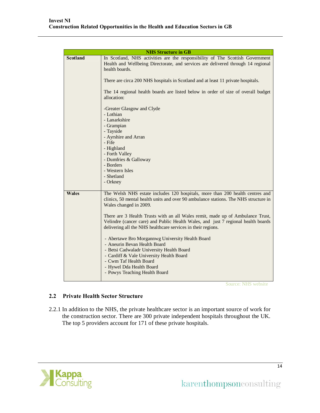|                 | <b>NHS Structure in GB</b>                                                                                                                                                                                                                                                                                                                                                                                                             |
|-----------------|----------------------------------------------------------------------------------------------------------------------------------------------------------------------------------------------------------------------------------------------------------------------------------------------------------------------------------------------------------------------------------------------------------------------------------------|
| <b>Scotland</b> | In Scotland, NHS activities are the responsibility of The Scottish Government<br>Health and Wellbeing Directorate, and services are delivered through 14 regional<br>health boards.<br>There are circa 200 NHS hospitals in Scotland and at least 11 private hospitals.<br>The 14 regional health boards are listed below in order of size of overall budget                                                                           |
|                 | allocation:<br>-Greater Glasgow and Clyde<br>- Lothian<br>- Lanarkshire<br>- Grampian<br>- Tayside<br>- Ayrshire and Arran<br>- Fife<br>- Highland                                                                                                                                                                                                                                                                                     |
|                 | - Forth Valley<br>- Dumfries & Galloway<br>- Borders<br>- Western Isles<br>- Shetland<br>- Orkney                                                                                                                                                                                                                                                                                                                                      |
| <b>Wales</b>    | The Welsh NHS estate includes 120 hospitals, more than 200 health centres and<br>clinics, 50 mental health units and over 90 ambulance stations. The NHS structure in<br>Wales changed in 2009.<br>There are 3 Health Trusts with an all Wales remit, made up of Ambulance Trust,<br>Velindre (cancer care) and Public Health Wales, and just 7 regional health boards<br>delivering all the NHS healthcare services in their regions. |
|                 | - Abertawe Bro Morgannwg University Health Board<br>- Aneurin Bevan Health Board<br>- Betsi Cadwaladr University Health Board<br>- Cardiff & Vale University Health Board<br>- Cwm Taf Health Board<br>- Hywel Dda Health Board<br>- Powys Teaching Health Board                                                                                                                                                                       |

Source: NHS website

# **2.2 Private Health Sector Structure**

2.2.1 In addition to the NHS, the private healthcare sector is an important source of work for the construction sector. There are 300 private independent hospitals throughout the UK. The top 5 providers account for 171 of these private hospitals.

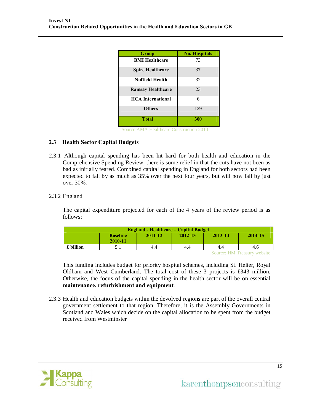| Group                                                          | <b>No. Hospitals</b> |
|----------------------------------------------------------------|----------------------|
| <b>BMI</b> Healthcare                                          | 73                   |
| <b>Spire Healthcare</b>                                        | 37                   |
| <b>Nuffield Health</b>                                         | 32                   |
| <b>Ramsay Healthcare</b>                                       | 23                   |
| <b>HCA</b> International                                       | 6                    |
| <b>Others</b>                                                  | 129                  |
| <b>T</b> otal                                                  | 300                  |
| $A = A \times A \times T \times T \times T \times T$<br>$\sim$ | $\bigcap$            |

Source AMA Healthcare Construction 2010

# **2.3 Health Sector Capital Budgets**

2.3.1 Although capital spending has been hit hard for both health and education in the Comprehensive Spending Review, there is some relief in that the cuts have not been as bad as initially feared. Combined capital spending in England for both sectors had been expected to fall by as much as 35% over the next four years, but will now fall by just over 30%.

### 2.3.2 England

The capital expenditure projected for each of the 4 years of the review period is as follows:

| <b>England - Healthcare – Capital Budget</b>                               |     |     |     |     |     |
|----------------------------------------------------------------------------|-----|-----|-----|-----|-----|
| 2013-14<br>$2014 - 15$<br>2012-13<br>2011-12<br><b>Baseline</b><br>2010-11 |     |     |     |     |     |
| £ billion                                                                  | ه . | 4.4 | 4.4 | 4.4 | 4.6 |

Source: HM Treasury website

This funding includes budget for priority hospital schemes, including St. Helier, Royal Oldham and West Cumberland. The total cost of these 3 projects is £343 million. Otherwise, the focus of the capital spending in the health sector will be on essential **maintenance, refurbishment and equipment**.

2.3.3 Health and education budgets within the devolved regions are part of the overall central government settlement to that region. Therefore, it is the Assembly Governments in Scotland and Wales which decide on the capital allocation to be spent from the budget received from Westminster

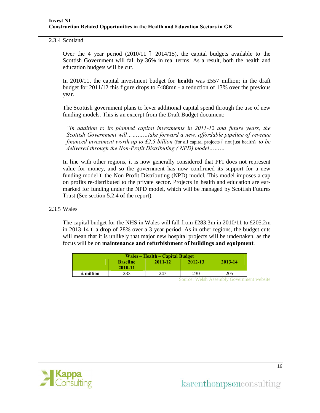### 2.3.4 Scotland

Over the 4 year period  $(2010/11 \div 2014/15)$ , the capital budgets available to the Scottish Government will fall by 36% in real terms. As a result, both the health and education budgets will be cut.

In 2010/11, the capital investment budget for **health** was £557 million; in the draft budget for 2011/12 this figure drops to £488mn - a reduction of 13% over the previous year.

The Scottish government plans to lever additional capital spend through the use of new funding models. This is an excerpt from the Draft Budget document:

*"in addition to its planned capital investments in 2011-12 and future years, the Scottish Government will…………take forward a new, affordable pipeline of revenue financed investment worth up to £2.5 billion* (for all capital projects 6 not just health), to be *delivered through the Non-Profit Distributing ( NPD) model………*

In line with other regions, it is now generally considered that PFI does not represent value for money, and so the government has now confirmed its support for a new funding model 6 the Non-Profit Distributing (NPD) model. This model imposes a cap on profits re-distributed to the private sector. Projects in health and education are earmarked for funding under the NPD model, which will be managed by Scottish Futures Trust (See section 5.2.4 of the report).

# 2.3.5 Wales

The capital budget for the NHS in Wales will fall from £283.3m in 2010/11 to £205.2m in 2013-14  $\acute{o}$  a drop of 28% over a 3 year period. As in other regions, the budget cuts will mean that it is unlikely that major new hospital projects will be undertaken, as the focus will be on **maintenance and refurbishment of buildings and equipment**.

| Wales – Health – Capital Budget                             |     |     |     |     |
|-------------------------------------------------------------|-----|-----|-----|-----|
| 2012-13<br>2013-14<br>2011-12<br><b>Baseline</b><br>2010-11 |     |     |     |     |
| £ million                                                   | 283 | 247 | 230 | 205 |

Source: Welsh Assembly Government website

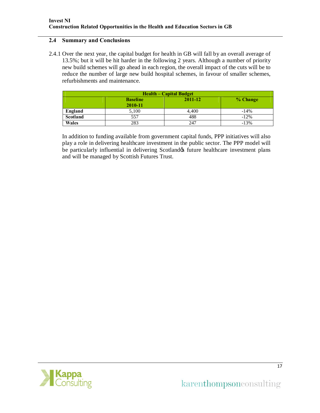# **2.4 Summary and Conclusions**

2.4.1 Over the next year, the capital budget for health in GB will fall by an overall average of 13.5%; but it will be hit harder in the following 2 years. Although a number of priority new build schemes will go ahead in each region, the overall impact of the cuts will be to reduce the number of large new build hospital schemes, in favour of smaller schemes, refurbishments and maintenance.

| <b>Health – Capital Budget</b> |                                                   |       |         |  |  |
|--------------------------------|---------------------------------------------------|-------|---------|--|--|
|                                | 2011-12<br>% Change<br><b>Baseline</b><br>2010-11 |       |         |  |  |
| <b>England</b>                 | 5,100                                             | 4.400 | $-14%$  |  |  |
| <b>Scotland</b>                | 557                                               | 488   | $-12\%$ |  |  |
| <b>Wales</b>                   | 283                                               | 247   | $-13%$  |  |  |

In addition to funding available from government capital funds, PPP initiatives will also play a role in delivering healthcare investment in the public sector. The PPP model will be particularly influential in delivering Scotland of future healthcare investment plans and will be managed by Scottish Futures Trust.

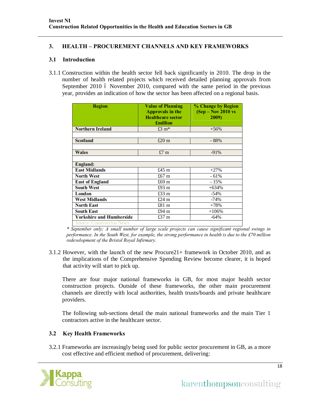# **3. HEALTH – PROCUREMENT CHANNELS AND KEY FRAMEWORKS**

# **3.1 Introduction**

3.1.1 Construction within the health sector fell back significantly in 2010. The drop in the number of health related projects which received detailed planning approvals from September 2010 6 November 2010, compared with the same period in the previous year, provides an indication of how the sector has been affected on a regional basis.

| <b>Region</b>                    | <b>Value of Planning</b><br><b>Approvals in the</b><br><b>Healthcare sector</b><br>£million | % Change by Region<br>$(Sep - Nov 2010 vs$<br>2009) |
|----------------------------------|---------------------------------------------------------------------------------------------|-----------------------------------------------------|
| <b>Northern Ireland</b>          | £3 $m*$                                                                                     | $+56%$                                              |
|                                  |                                                                                             |                                                     |
| Scotland                         | £20 <sub>m</sub>                                                                            | $-88%$                                              |
|                                  |                                                                                             |                                                     |
| <b>Wales</b>                     | £7 $m$                                                                                      | $-91%$                                              |
|                                  |                                                                                             |                                                     |
| England:                         |                                                                                             |                                                     |
| <b>East Midlands</b>             | £45 m                                                                                       | $+27%$                                              |
| <b>North West</b>                | £67 m                                                                                       | $-61%$                                              |
| <b>East of England</b>           | £69 m                                                                                       | $-15%$                                              |
| <b>South West</b>                | £93 m                                                                                       | $+634%$                                             |
| London                           | £33 m                                                                                       | $-54%$                                              |
| <b>West Midlands</b>             | £24 $m$                                                                                     | $-74%$                                              |
| <b>North East</b>                | £81 m                                                                                       | $+78%$                                              |
| <b>South East</b>                | £94 m                                                                                       | $+106%$                                             |
| <b>Yorkshire and Humberside</b>  | £37 m                                                                                       | $-64%$                                              |
| <b>Source: Construction News</b> |                                                                                             |                                                     |

*\* September only; A small number of large scale projects can cause significant regional swings in performance. In the South West, for example, the strong performance in health is due to the £70 million redevelopment of the Bristol Royal Infirmary.*

3.1.2 However, with the launch of the new Procure21+ framework in October 2010, and as the implications of the Comprehensive Spending Review become clearer, it is hoped that activity will start to pick up.

There are four major national frameworks in GB, for most major health sector construction projects. Outside of these frameworks, the other main procurement channels are directly with local authorities, health trusts/boards and private healthcare providers.

The following sub-sections detail the main national frameworks and the main Tier 1 contractors active in the healthcare sector.

# **3.2 Key Health Frameworks**

3.2.1 Frameworks are increasingly being used for public sector procurement in GB, as a more cost effective and efficient method of procurement, delivering:

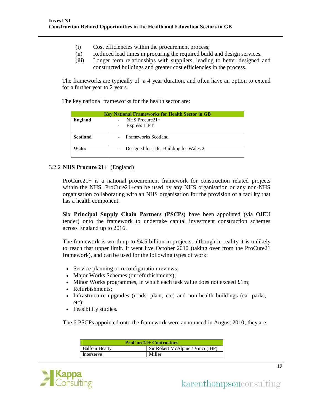- (i) Cost efficiencies within the procurement process;
- (ii) Reduced lead times in procuring the required build and design services.
- (iii) Longer term relationships with suppliers, leading to better designed and constructed buildings and greater cost efficiencies in the process.

The frameworks are typically of a 4 year duration, and often have an option to extend for a further year to 2 years.

The key national frameworks for the health sector are:

| <b>Key National Frameworks for Health Sector in GB</b> |  |                                         |  |
|--------------------------------------------------------|--|-----------------------------------------|--|
| England                                                |  | NHS Procure $21+$                       |  |
|                                                        |  | <b>Express LIFT</b>                     |  |
|                                                        |  |                                         |  |
| <b>Scotland</b>                                        |  | <b>Frameworks Scotland</b>              |  |
|                                                        |  |                                         |  |
| <b>Wales</b>                                           |  | Designed for Life: Building for Wales 2 |  |
|                                                        |  |                                         |  |

# 3.2.2 **NHS Procure 21+** (England)

ProCure21+ is a national procurement framework for construction related projects within the NHS. ProCure21+can be used by any NHS organisation or any non-NHS organisation collaborating with an NHS organisation for the provision of a facility that has a health component.

**Six Principal Supply Chain Partners (PSCPs)** have been appointed (via OJEU tender) onto the framework to undertake capital investment construction schemes across England up to 2016.

The framework is worth up to  $\text{\pounds}4.5$  billion in projects, although in reality it is unlikely to reach that upper limit. It went live October 2010 (taking over from the ProCure21 framework), and can be used for the following types of work:

- · Service planning or reconfiguration reviews;
- · Major Works Schemes (or refurbishments);
- Minor Works programmes, in which each task value does not exceed £1m;
- Refurbishments;
- Infrastructure upgrades (roads, plant, etc) and non-health buildings (car parks, etc);
- Feasibility studies.

The 6 PSCPs appointed onto the framework were announced in August 2010; they are:

| <b>ProCure21+ Contractors</b> |                                   |  |  |
|-------------------------------|-----------------------------------|--|--|
| <b>Balfour Beatty</b>         | Sir Robert McAlpine / Vinci (IHP) |  |  |
| Interserve                    | Miller                            |  |  |

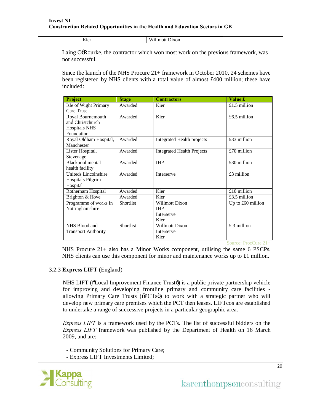Kier Willmott Dixon

Laing OgRourke, the contractor which won most work on the previous framework, was not successful.

Since the launch of the NHS Procure 21+ framework in October 2010, 24 schemes have been registered by NHS clients with a total value of almost £400 million; these have included:

| <b>Project</b>             | <b>Stage</b> | <b>Contractors</b>                | Value £             |
|----------------------------|--------------|-----------------------------------|---------------------|
| Isle of Wight Primary      | Awarded      | Kier                              | £1.5 million        |
| Care Trust                 |              |                                   |                     |
| Royal Bournemouth          | Awarded      | Kier                              | £6.5 million        |
| and Christchurch           |              |                                   |                     |
| <b>Hospitals NHS</b>       |              |                                   |                     |
| Foundation                 |              |                                   |                     |
| Royal Oldham Hospital,     | Awarded      | Integrated Health projects        | $£33$ million       |
| Manchester                 |              |                                   |                     |
| Lister Hospital,           | Awarded      | <b>Integrated Health Projects</b> | $£70$ million       |
| Stevenage                  |              |                                   |                     |
| Blackpool mental           | Awarded      | <b>IHP</b>                        | $£30$ million       |
| health facility            |              |                                   |                     |
| Uniteds Lincolnshire       | Awarded      | Interserve                        | $£3$ million        |
| Hospitals Pilgrim          |              |                                   |                     |
| Hospital                   |              |                                   |                     |
| Rotherham Hospital         | Awarded      | Kier                              | $£10$ million       |
| Brighton & Hove            | Awarded      | Kier                              | £3.5 million        |
| Programme of works in      | Shortlist    | Willmott Dixon                    | Up to $£60$ million |
| Nottinghamshire            |              | <b>THP</b>                        |                     |
|                            |              | <b>Interserve</b>                 |                     |
|                            |              | Kier                              |                     |
| NHS Blood and              | Shortlist    | <b>Willmott Dixon</b>             | $£$ 3 million       |
| <b>Transport Authority</b> |              | Interserve                        |                     |
|                            |              | Kier                              |                     |

Source: ProcCure 21+

NHS Procure 21+ also has a Minor Works component, utilising the same 6 PSCPs. NHS clients can use this component for minor and maintenance works up to £1 million.

# 3.2.3 **Express LIFT** (England)

NHS LIFT ( $\delta$ Local Improvement Finance Trusto) is a public private partnership vehicle for improving and developing frontline primary and community care facilities allowing Primary Care Trusts ( $\delta$ PCTs $\ddot{\sigma}$ ) to work with a strategic partner who will develop new primary care premises which the PCT then leases. LIFTcos are established to undertake a range of successive projects in a particular geographic area.

*Express LIFT* is a framework used by the PCTs. The list of successful bidders on the *Express LIFT* framework was published by the Department of Health on 16 March 2009, and are:

- Community Solutions for Primary Care;

- Express LIFT Investments Limited;

### $E$  II  $V$ <sub>ommo</sub>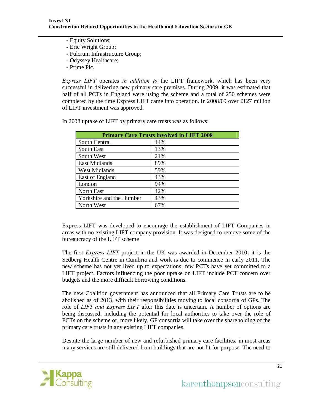- Equity Solutions;
- Eric Wright Group;
- Fulcrum Infrastructure Group;
- Odyssey Healthcare;
- Prime Plc.

*Express LIFT* operates *in addition to* the LIFT framework, which has been very successful in delivering new primary care premises. During 2009, it was estimated that half of all PCTs in England were using the scheme and a total of 250 schemes were completed by the time Express LIFT came into operation. In 2008/09 over £127 million of LIFT investment was approved.

| <b>Primary Care Trusts involved in LIFT 2008</b> |     |  |
|--------------------------------------------------|-----|--|
| South Central                                    | 44% |  |
| South East                                       | 13% |  |
| South West                                       | 21% |  |
| <b>East Midlands</b>                             | 89% |  |
| West Midlands                                    | 59% |  |
| East of England                                  | 43% |  |
| London                                           | 94% |  |
| North East                                       | 42% |  |
| Yorkshire and the Humber                         | 43% |  |
| North West                                       | 67% |  |

In 2008 uptake of LIFT by primary care trusts was as follows:

Express LIFT was developed to encourage the establishment of LIFT Companies in areas with no existing LIFT company provision. It was designed to remove some of the bureaucracy of the LIFT scheme

The first *Express LIFT* project in the UK was awarded in December 2010; it is the Sedberg Health Centre in Cumbria and work is due to commence in early 2011. The new scheme has not yet lived up to expectations; few PCTs have yet committed to a LIFT project. Factors influencing the poor uptake on LIFT include PCT concern over budgets and the more difficult borrowing conditions.

The new Coalition government has announced that all Primary Care Trusts are to be abolished as of 2013, with their responsibilities moving to local consortia of GPs. The role of *LIFT and Express LIFT* after this date is uncertain. A number of options are being discussed, including the potential for local authorities to take over the role of PCTs on the scheme or, more likely, GP consortia will take over the shareholding of the primary care trusts in any existing LIFT companies.

Despite the large number of new and refurbished primary care facilities, in most areas many services are still delivered from buildings that are not fit for purpose. The need to

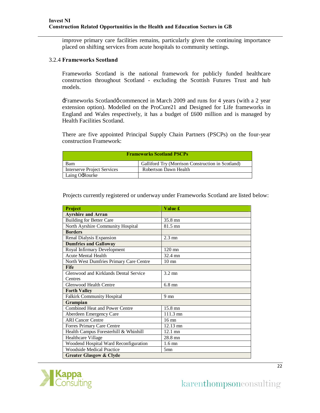improve primary care facilities remains, particularly given the continuing importance placed on shifting services from acute hospitals to community settings.

# 3.2.4 **Frameworks Scotland**

Frameworks Scotland is the national framework for publicly funded healthcare construction throughout Scotland - excluding the Scottish Futures Trust and hub models.

'Frameworks Scotland' commenced in March 2009 and runs for 4 years (with a 2 year extension option). Modelled on the ProCure21 and Designed for Life frameworks in England and Wales respectively, it has a budget of £600 million and is managed by Health Facilities Scotland.

There are five appointed Principal Supply Chain Partners (PSCPs) on the four-year construction Framework:

| <b>Frameworks Scotland PSCPs</b>   |                                                   |  |  |
|------------------------------------|---------------------------------------------------|--|--|
| Bam                                | Galliford Try (Morrison Construction in Scotland) |  |  |
| <b>Interserve Project Services</b> | Robertson Dawn Health                             |  |  |
| Laing OgRourke                     |                                                   |  |  |

| <b>Project</b>                          | Value £            |
|-----------------------------------------|--------------------|
| <b>Ayrshire and Arran</b>               |                    |
| <b>Building for Better Care</b>         | 35.8 mn            |
| North Ayrshire Community Hospital       | 81.5 mn            |
| <b>Borders</b>                          |                    |
| Renal Dialysis Expansion                | $2.3 \text{ mm}$   |
| <b>Dumfries and Galloway</b>            |                    |
| Royal Infirmary Development             | $120 \text{ mm}$   |
| <b>Acute Mental Health</b>              | 32.4 mn            |
| North West Dumfries Primary Care Centre | $10 \text{ mm}$    |
| <b>Fife</b>                             |                    |
| Glenwood and Kirklands Dental Service   | $3.2 \text{ mm}$   |
| Centres                                 |                    |
| Glenwood Health Centre                  | $6.8$ mn           |
| <b>Forth Valley</b>                     |                    |
| <b>Falkirk Community Hospital</b>       | $9 \text{ mm}$     |
| Grampian                                |                    |
| <b>Combined Heat and Power Centre</b>   | $15.8$ mn          |
| Aberdeen Emergency Care                 | $111.3 \text{ mm}$ |
| <b>ARI</b> Cancer Centre                | $16 \text{ mm}$    |
| Forres Primary Care Centre              | $12.13 \text{ mm}$ |
| Health Campus Foresterhill & Whinhill   | $12.1$ mn          |
| Healthcare Village                      | 28.8 mn            |
| Woodend Hospital Ward Reconfiguration   | $1.6 \text{ mm}$   |
| <b>Woodside Medical Practice</b>        | 5 <sub>mn</sub>    |
| <b>Greater Glasgow &amp; Clyde</b>      |                    |

Projects currently registered or underway under Frameworks Scotland are listed below:

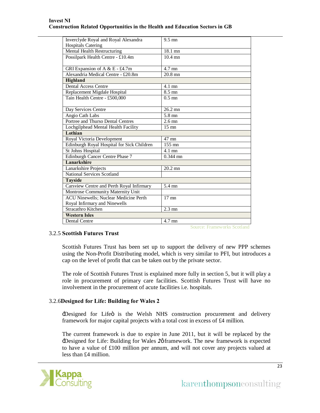| Inverclyde Royal and Royal Alexandra          | $9.5 \text{ mm}$                   |
|-----------------------------------------------|------------------------------------|
| <b>Hospitals Catering</b>                     |                                    |
| Mental Health Restructuring                   | 18.1 mn                            |
| Possilpark Health Centre - £10.4m             | $10.4$ mn                          |
|                                               |                                    |
| GRI Expansion of A & E - £4.7m                | 4.7 mn                             |
| Alexandria Medical Centre - £20.8m            | $20.8$ mn                          |
| Highland                                      |                                    |
| <b>Dental Access Centre</b>                   | $4.1$ mn                           |
| Replacement Migdale Hospital                  | $8.5 \text{ mm}$                   |
| Tain Health Centre - £500,000                 | $0.5$ mn                           |
|                                               |                                    |
| Day Services Centre                           | $26.2$ mn                          |
| Angio Cath Labs                               | $5.8$ mn                           |
| Portree and Thurso Dental Centres             | $2.6 \text{ mm}$                   |
| Lochgilphead Mental Health Facility           | $15 \text{ mm}$                    |
| Lothian                                       |                                    |
| Royal Victoria Development                    | 47 mn                              |
| Edinburgh Royal Hospital for Sick Children    | 155 mn                             |
| St Johns Hospital                             | $4.1$ mn                           |
| <b>Edinburgh Cancer Centre Phase 7</b>        | $0.344$ mn                         |
| <b>Lanarkshire</b>                            |                                    |
| Lanarkshire Projects                          | $20.2 \text{ mm}$                  |
| National Services Scotland                    |                                    |
| <b>Tayside</b>                                |                                    |
| Carsview Centre and Perth Royal Infirmary     | 5.4 mn                             |
| Montrose Community Maternity Unit             |                                    |
| <b>ACU Ninewells</b> ; Nuclear Medicine Perth | $17$ mn                            |
| Royal Infirmary and Ninewells                 |                                    |
| Stracathro Kitchen                            | $\overline{2.3}$ mn                |
| <b>Western Isles</b>                          |                                    |
| <b>Dental Centre</b>                          | 4.7 mn                             |
|                                               | <b>Source: Frameworks Scotland</b> |

# 3.2.5 **Scottish Futures Trust**

Scottish Futures Trust has been set up to support the delivery of new PPP schemes using the Non-Profit Distributing model, which is very similar to PFI, but introduces a cap on the level of profit that can be taken out by the private sector.

The role of Scottish Futures Trust is explained more fully in section 5, but it will play a role in procurement of primary care facilities. Scottish Futures Trust will have no involvement in the procurement of acute facilities i.e. hospitals.

# 3.2.6**Designed for Life: Building for Wales 2**

 $\exists$ Designed for Lifeö is the Welsh NHS construction procurement and delivery framework for major capital projects with a total cost in excess of £4 million.

The current framework is due to expire in June 2011, but it will be replaced by the :Designed for Life: Building for Wales 2ø framework. The new framework is expected to have a value of £100 million per annum, and will not cover any projects valued at less than £4 million.

### $E$  II  $V$ <sub>ommo</sub>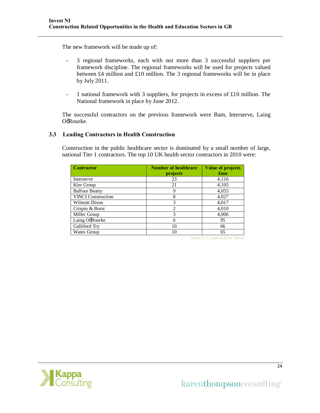The new framework will be made up of:

- 3 regional frameworks, each with not more than 3 successful suppliers per framework discipline. The regional frameworks will be used for projects valued between £4 million and £10 million. The 3 regional frameworks will be in place by July 2011.
- 1 national framework with 3 suppliers, for projects in excess of £10 million. The National framework in place by June 2012.

The successful contractors on the previous framework were Bam, Interserve, Laing OoRourke.

# **3.3 Leading Contractors in Health Construction**

Construction in the public healthcare sector is dominated by a small number of large, national Tier 1 contractors. The top 10 UK health sector contractors in 2010 were:

| <b>Contractor</b>         | <b>Number of healthcare</b> | <b>Value of projects</b>  |
|---------------------------|-----------------------------|---------------------------|
|                           | projects                    | $\mathbf{f}_{\mathbf{m}}$ |
| Interserve                | 23                          | 4,116                     |
| Kier Group                | 21                          | 4,105                     |
| <b>Balfour Beatty</b>     | 9                           | 4,055                     |
| <b>VINCI</b> Construction | 8                           | 4,027                     |
| Wilmott Dixon             | 3                           | 4,017                     |
| Crispin & Borst           | $\overline{c}$              | 4,010                     |
| Miller Group              | 3                           | 4,006                     |
| Laing OgRourke            | 6                           | 95                        |
| Galliford Try             | 10                          | 66                        |
| Wates Group               | 10                          | 65                        |

Source: Construction News

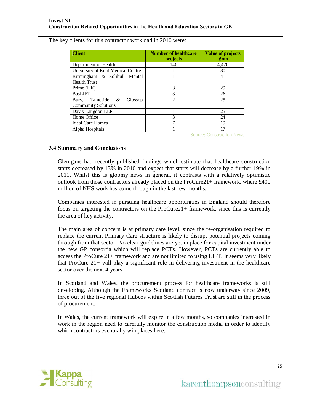| <b>Client</b>                     | <b>Number of healthcare</b><br>projects | Value of projects<br>$_{\rm fmm}$ |
|-----------------------------------|-----------------------------------------|-----------------------------------|
| Department of Health              | 146                                     | 4,470                             |
| University of Kent Medical Centre |                                         | 80                                |
| Birmingham & Solihull Mental      |                                         | 41                                |
| <b>Health Trust</b>               |                                         |                                   |
| Prime (UK)                        | 3                                       | 29                                |
| <b>BasLIFT</b>                    | 3                                       | 26                                |
| Tameside<br>&<br>Glossop<br>Bury, | $\overline{2}$                          | 25                                |
| <b>Community Solutions</b>        |                                         |                                   |
| Davis Langdon LLP                 |                                         | 25                                |
| Home Office                       | 3                                       | 24                                |
| <b>Ideal Care Homes</b>           | 7                                       | 19                                |
| Alpha Hospitals                   |                                         | 17                                |

The key clients for this contractor workload in 2010 were:

Source: Construction News

### **3.4 Summary and Conclusions**

Glenigans had recently published findings which estimate that healthcare construction starts decreased by 13% in 2010 and expect that starts will decrease by a further 19% in 2011. Whilst this is gloomy news in general, it contrasts with a relatively optimistic outlook from those contractors already placed on the ProCure21+ framework, where £400 million of NHS work has come through in the last few months.

Companies interested in pursuing healthcare opportunities in England should therefore focus on targeting the contractors on the ProCure21+ framework, since this is currently the area of key activity.

The main area of concern is at primary care level, since the re-organisation required to replace the current Primary Care structure is likely to disrupt potential projects coming through from that sector. No clear guidelines are yet in place for capital investment under the new GP consortia which will replace PCTs. However, PCTs are currently able to access the ProCure 21+ framework and are not limited to using LIFT. It seems very likely that ProCure 21+ will play a significant role in delivering investment in the healthcare sector over the next 4 years.

In Scotland and Wales, the procurement process for healthcare frameworks is still developing. Although the Frameworks Scotland contract is now underway since 2009, three out of the five regional Hubcos within Scottish Futures Trust are still in the process of procurement.

In Wales, the current framework will expire in a few months, so companies interested in work in the region need to carefully monitor the construction media in order to identify which contractors eventually win places here.

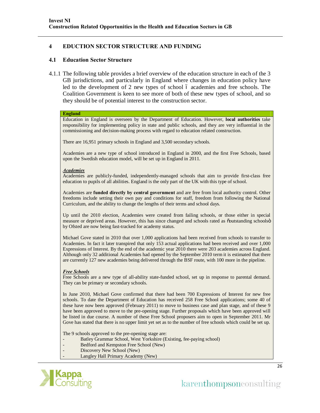# **4 EDUCTION SECTOR STRUCTURE AND FUNDING**

### **4.1 Education Sector Structure**

4.1.1 The following table provides a brief overview of the education structure in each of the 3 GB jurisdictions, and particularly in England where changes in education policy have led to the development of 2 new types of school 6 academies and free schools. The Coalition Government is keen to see more of both of these new types of school, and so they should be of potential interest to the construction sector.

#### **England**

Education in England is overseen by the Department of Education. However, **local authorities** take responsibility for implementing policy in state and public schools, and they are very influential in the commissioning and decision-making process with regard to education related construction.

There are 16,951 primary schools in England and 3,500 secondary schools.

Academies are a new type of school introduced in England in 2000, and the first Free Schools, based upon the Swedish education model, will be set up in England in 2011.

#### *Academies*

Academies are publicly-funded, independently-managed schools that aim to provide first-class free education to pupils of all abilities. England is the only part of the UK with this type of school.

Academies are **funded directly by central government** and are free from local authority control. Other freedoms include setting their own pay and conditions for staff, freedom from following the National Curriculum, and the ability to change the lengths of their terms and school days.

Up until the 2010 election, Academies were created from failing schools, or those either in special measure or deprived areas. However, this has since changed and schools rated as  $\ddot{\text{o}}$ outstanding schools $\ddot{\text{o}}$ by Ofsted are now being fast-tracked for academy status.

Michael Gove stated in 2010 that over 1,000 applications had been received from schools to transfer to Academies. In fact it later transpired that only 153 actual applications had been received and over 1,000 Expressions of Interest. By the end of the academic year 2010 there were 203 academies across England. Although only 32 additional Academies had opened by the September 2010 term it is estimated that there are currently 127 new academies being delivered through the BSF route, with 100 more in the pipeline.

#### *Free Schools*

Free Schools are a new type of all-ability state-funded school, set up in response to parental demand. They can be primary or secondary schools.

In June 2010, Michael Gove confirmed that there had been 700 Expressions of Interest for new free schools. To date the Department of Education has received 258 Free School applications; some 40 of these have now been approved (February 2011) to move to business case and plan stage, and of these 9 have been approved to move to the pre-opening stage. Further proposals which have been approved will be listed in due course. A number of these Free School proposers aim to open in September 2011. Mr Gove has stated that there is no upper limit yet set as to the number of free schools which could be set up.

The 9 schools approved to the pre-opening stage are:

- Batley Grammar School, West Yorkshire (Existing, fee-paying school)
- Bedford and Kempston Free School (New)
- Discovery New School (New)
	- Langley Hall Primary Academy (New)

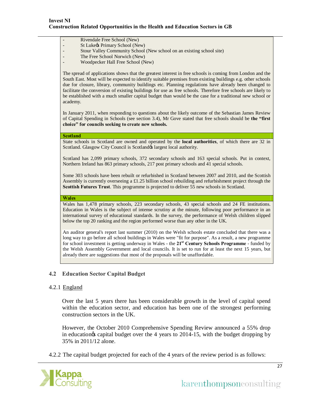|     | Rivendale Free School (New)                                                                                                                                                                                                                                                                                                                                                                                                                                                                                                                                              |
|-----|--------------------------------------------------------------------------------------------------------------------------------------------------------------------------------------------------------------------------------------------------------------------------------------------------------------------------------------------------------------------------------------------------------------------------------------------------------------------------------------------------------------------------------------------------------------------------|
|     | St Luke¢s Primary School (New)<br>Stour Valley Community School (New school on an existing school site)                                                                                                                                                                                                                                                                                                                                                                                                                                                                  |
|     | The Free School Norwich (New)                                                                                                                                                                                                                                                                                                                                                                                                                                                                                                                                            |
|     | Woodpecker Hall Free School (New)                                                                                                                                                                                                                                                                                                                                                                                                                                                                                                                                        |
|     |                                                                                                                                                                                                                                                                                                                                                                                                                                                                                                                                                                          |
|     | The spread of applications shows that the greatest interest in free schools is coming from London and the<br>South East. Most will be expected to identify suitable premises from existing buildings e.g. other schools<br>due for closure, library, community buildings etc. Planning regulations have already been changed to<br>facilitate the conversion of existing buildings for use as free schools. Therefore free schools are likely to<br>be established with a much smaller capital budget than would be the case for a traditional new school or<br>academy. |
|     | In January 2011, when responding to questions about the likely outcome of the Sebastian James Review<br>of Capital Spending in Schools (see section 3.4), Mr Gove stated that free schools should be the "first<br>choice" for councils seeking to create new schools.                                                                                                                                                                                                                                                                                                   |
|     | <b>Scotland</b>                                                                                                                                                                                                                                                                                                                                                                                                                                                                                                                                                          |
|     | State schools in Scotland are owned and operated by the local authorities, of which there are 32 in<br>Scotland. Glasgow City Council is Scotlandøs largest local authority.                                                                                                                                                                                                                                                                                                                                                                                             |
|     | Scotland has 2,099 primary schools, 372 secondary schools and 163 special schools. Put in context,<br>Northern Ireland has 863 primary schools, 217 post primary schools and 41 special schools.                                                                                                                                                                                                                                                                                                                                                                         |
|     | Some 303 schools have been rebuilt or refurbished in Scotland between 2007 and 2010, and the Scottish<br>Assembly is currently overseeing a £1.25 billion school rebuilding and refurbishment project through the<br>Scottish Futures Trust. This programme is projected to deliver 55 new schools in Scotland.                                                                                                                                                                                                                                                          |
|     | <b>Wales</b>                                                                                                                                                                                                                                                                                                                                                                                                                                                                                                                                                             |
|     | Wales has 1,478 primary schools, 223 secondary schools, 43 special schools and 24 FE institutions.<br>Education in Wales is the subject of intense scrutiny at the minute, following poor performance in an<br>international survey of educational standards. In the survey, the performance of Welsh children slipped<br>below the top 20 ranking and the region performed worse than any other in the UK.                                                                                                                                                              |
|     | An auditor general's report last summer (2010) on the Welsh schools estate concluded that there was a<br>long way to go before all school buildings in Wales were "fit for purpose". As a result, a new programme<br>for school investment is getting underway in Wales - the 21 <sup>st</sup> Century Schools Programme - funded by<br>the Welsh Assembly Government and local councils. It is set to run for at least the next 15 years, but<br>already there are suggestions that most of the proposals will be unaffordable.                                         |
| 4.2 | <b>Education Sector Capital Budget</b><br>4.2.1 England                                                                                                                                                                                                                                                                                                                                                                                                                                                                                                                  |

Over the last 5 years there has been considerable growth in the level of capital spend within the education sector, and education has been one of the strongest performing construction sectors in the UK.

However, the October 2010 Comprehensive Spending Review announced a 55% drop in educationgs capital budget over the 4 years to 2014-15, with the budget dropping by 35% in 2011/12 alone.

4.2.2 The capital budget projected for each of the 4 years of the review period is as follows: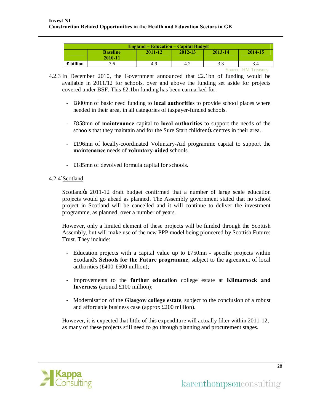|           | <b>England – Education – Capital Budget</b> |         |         |         |         |
|-----------|---------------------------------------------|---------|---------|---------|---------|
|           | <b>Baseline</b><br>$2010 - 11$              | 2011-12 | 2012-13 | 2013-14 | 2014-15 |
| £ billion |                                             | 4.9     | 4.2     | J.J     | 3.4     |

Source: HM Treasury

- 4.2.3 In December 2010, the Government announced that £2.1bn of funding would be available in 2011/12 for schools, over and above the funding set aside for projects covered under BSF. This £2.1bn funding has been earmarked for:
	- £800mn of basic need funding to **local authorities** to provide school places where needed in their area, in all categories of taxpayer-funded schools.
	- £858mn of **maintenance** capital to **local authorities** to support the needs of the schools that they maintain and for the Sure Start childrengs centres in their area.
	- £196mn of locally-coordinated Voluntary-Aid programme capital to support the **maintenance** needs of **voluntary-aided** schools.
	- £185mn of devolved formula capital for schools.

# 4.2.4`Scotland

Scotland $\&$  2011-12 draft budget confirmed that a number of large scale education projects would go ahead as planned. The Assembly government stated that no school project in Scotland will be cancelled and it will continue to deliver the investment programme, as planned, over a number of years.

However, only a limited element of these projects will be funded through the Scottish Assembly, but will make use of the new PPP model being pioneered by Scottish Futures Trust. They include:

- Education projects with a capital value up to £750mn specific projects within Scotland's **Schools for the Future programme**, subject to the agreement of local authorities (£400-£500 million);
- Improvements to the **further education** college estate at **Kilmarnock and Inverness** (around £100 million);
- Modernisation of the **Glasgow college estate**, subject to the conclusion of a robust and affordable business case (approx £200 million).

However, it is expected that little of this expenditure will actually filter within 2011-12, as many of these projects still need to go through planning and procurement stages.

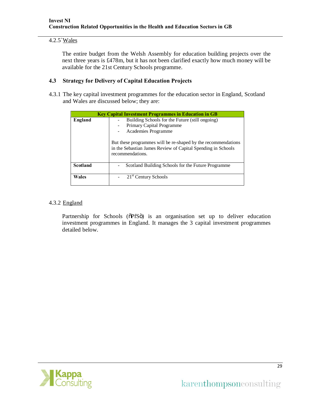# 4.2.5`Wales

The entire budget from the Welsh Assembly for education building projects over the next three years is £478m, but it has not been clarified exactly how much money will be available for the 21st Century Schools programme.

# **4.3 Strategy for Delivery of Capital Education Projects**

4.3.1 The key capital investment programmes for the education sector in England, Scotland and Wales are discussed below; they are:

|                 | <b>Key Capital Investment Programmes in Education in GB</b>                                                                                       |
|-----------------|---------------------------------------------------------------------------------------------------------------------------------------------------|
| England         | Building Schools for the Future (still ongoing)                                                                                                   |
|                 | Primary Capital Programme                                                                                                                         |
|                 | Academies Programme                                                                                                                               |
|                 | But these programmes will be re-shaped by the recommendations<br>in the Sebastian James Review of Capital Spending in Schools<br>recommendations. |
| <b>Scotland</b> | Scotland Building Schools for the Future Programme                                                                                                |
| Wales           | 21 <sup>st</sup> Century Schools                                                                                                                  |

# 4.3.2 England

Partnership for Schools ( $\delta$ PfS $\ddot{o}$ ) is an organisation set up to deliver education investment programmes in England. It manages the 3 capital investment programmes detailed below.

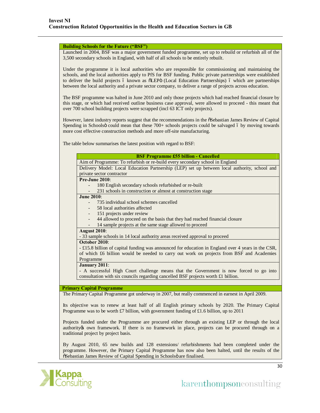#### **Building Schools for the Future ("BSF")**

Launched in 2004, BSF was a major government funded programme, set up to rebuild or refurbish all of the 3,500 secondary schools in England, with half of all schools to be entirely rebuilt.

Under the programme it is local authorities who are responsible for commissioning and maintaining the schools, and the local authorities apply to PfS for BSF funding. Public private partnerships were established to deliver the build projects 6 known as  $\delta$ LEP<sub>0</sub> (Local Education Partnerships) 6 which are partnerships between the local authority and a private sector company, to deliver a range of projects across education.

The BSF programme was halted in June 2010 and only those projects which had reached financial closure by this stage, or which had received outline business case approval, were allowed to proceed - this meant that over 700 school building projects were scrapped (incl 63 ICT only projects).

However, latest industry reports suggest that the recommendations in the  $\tilde{o}$ Sebastian James Review of Capital Spending in Schoolsö could mean that these  $700+$  schools projects could be salvaged 6 by moving towards more cost effective construction methods and more off-site manufacturing.

The table below summarises the latest position with regard to BSF:

|                      | <b>BSF Programme £55 billion - Cancelled</b>                                                       |
|----------------------|----------------------------------------------------------------------------------------------------|
|                      | Aim of Programme: To refurbish or re-build every secondary school in England                       |
|                      | Delivery Model: Local Education Partnership (LEP) set up between local authority, school and       |
|                      | private sector contractor                                                                          |
| Pre-June $2010$ :    |                                                                                                    |
|                      | 180 English secondary schools refurbished or re-built                                              |
|                      | 231 schools in construction or almost at construction stage                                        |
| <b>June 2010:</b>    |                                                                                                    |
|                      | 735 individual school schemes cancelled                                                            |
|                      | 58 local authorities affected                                                                      |
|                      | 151 projects under review                                                                          |
|                      | 44 allowed to proceed on the basis that they had reached financial closure                         |
|                      | 14 sample projects at the same stage allowed to proceed                                            |
| <b>August 2010:</b>  |                                                                                                    |
|                      | -33 sample schools in 14 local authority areas received approval to proceed                        |
| October 2010:        |                                                                                                    |
|                      | - £15.8 billion of capital funding was announced for education in England over 4 years in the CSR, |
|                      | of which £6 billion would be needed to carry out work on projects from BSF and Academies           |
| Programme            |                                                                                                    |
| <b>January 2011:</b> |                                                                                                    |
|                      | - A successful High Court challenge means that the Government is now forced to go into             |
|                      | consultation with six councils regarding cancelled BSF projects worth £1 billion.                  |

#### **Primary Capital Programme**

The Primary Capital Programme got underway in 2007, but really commenced in earnest in April 2009.

Its objective was to renew at least half of all English primary schools by 2020. The Primary Capital Programme was to be worth £7 billion, with government funding of £1.6 billion, up to 2011

Projects funded under the Programme are procured either through an existing LEP or through the local authority to own framework. If there is no framework in place, projects can be procured through on a traditional project by project basis.

By August 2010, 65 new builds and 128 extensions/ refurbishments had been completed under the programme. However, the Primary Capital Programme has now also been halted, until the results of the  $\delta$ Sebastian James Review of Capital Spending in Schoolsö are finalised.

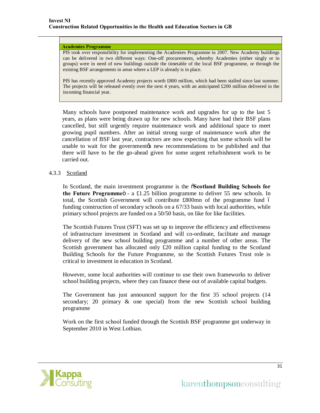#### **Academies Programme**

PfS took over responsibility for implementing the Academies Programme in 2007. New Academy buildings can be delivered in two different ways: One-off procurements, whereby Academies (either singly or in groups) were in need of new buildings outside the timetable of the local BSF programme, or through the existing BSF arrangements in areas where a LEP is already is in place.

PfS has recently approved Academy projects worth £800 million, which had been stalled since last summer. The projects will be released evenly over the next 4 years, with an anticipated £200 million delivered in the incoming financial year.

Many schools have postponed maintenance work and upgrades for up to the last 5 years, as plans were being drawn up for new schools. Many have had their BSF plans cancelled, but still urgently require maintenance work and additional space to meet growing pupil numbers. After an initial strong surge of maintenance work after the cancellation of BSF last year, contractors are now expecting that some schools will be unable to wait for the government to new recommendations to be published and that there will have to be the go-ahead given for some urgent refurbishment work to be carried out.

### 4.3.3 Scotland

In Scotland, the main investment programme is the  $\tilde{c}$ Scotland Building Schools for **the Future Programme** $\ddot{\circ}$  - a £1.25 billion programme to deliver 55 new schools. In total, the Scottish Government will contribute  $£800$ mn of the programme fund 6 funding construction of secondary schools on a 67/33 basis with local authorities, while primary school projects are funded on a 50/50 basis, on like for like facilities.

The Scottish Futures Trust (SFT) was set up to improve the efficiency and effectiveness of infrastructure investment in Scotland and will co-ordinate, facilitate and manage delivery of the new school building programme and a number of other areas. The Scottish government has allocated only £20 million capital funding to the Scotland Building Schools for the Future Programme, so the Scottish Futures Trust role is critical to investment in education in Scotland.

However, some local authorities will continue to use their own frameworks to deliver school building projects, where they can finance these out of available capital budgets.

The Government has just announced support for the first 35 school projects (14 secondary; 20 primary  $\&$  one special) from the new Scottish school building programme

Work on the first school funded through the Scottish BSF programme got underway in September 2010 in West Lothian.

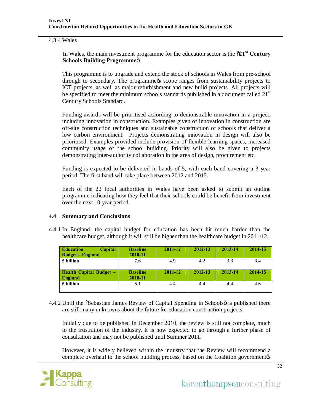4.3.4 Wales

In Wales, the main investment programme for the education sector is the  $\tilde{o}21<sup>st</sup>$  Century **Schools Building Programme**ö.

This programme is to upgrade and extend the stock of schools in Wales from pre-school through to secondary. The programme is scope ranges from sustainability projects to ICT projects, as well as major refurbishment and new build projects. All projects will be specified to meet the minimum schools standards published in a document called  $21<sup>st</sup>$ Century Schools Standard.

Funding awards will be prioritised according to demonstrable innovation in a project, including innovation in construction. Examples given of innovation in construction are off-site construction techniques and sustainable construction of schools that deliver a low carbon environment. Projects demonstrating innovation in design will also be prioritised. Examples provided include provision of flexible learning spaces, increased community usage of the school building. Priority will also be given to projects demonstrating inter-authority collaboration in the area of design, procurement etc.

Funding is expected to be delivered in bands of 5, with each band covering a 3-year period. The first band will take place between 2012 and 2015.

Each of the 22 local authorities in Wales have been asked to submit an outline programme indicating how they feel that their schools could be benefit from investment over the next 10 year period.

# **4.4 Summary and Conclusions**

4.4.1 In England, the capital budget for education has been hit much harder than the healthcare budget, although it will still be higher than the healthcare budget in 2011/12.

| <b>Education</b><br><b>Capital</b><br><b>Budget – England</b> | <b>Baseline</b><br>2010-11 | 2011-12 | 2012-13 | 2013-14 | 2014-15 |
|---------------------------------------------------------------|----------------------------|---------|---------|---------|---------|
| £ billion                                                     | 7.6                        | 4.9     | 4.2     | 3.3     | 3.4     |
| <b>Health Capital Budget –</b><br>England                     | <b>Baseline</b><br>2010-11 | 2011-12 | 2012-13 | 2013-14 | 2014-15 |
| £ billion                                                     | 5.1                        | 4.4     | 4.4     | 4.4     | 4.6     |

4.4.2 Until the  $\delta$ Sebastian James Review of Capital Spending in Schools is published there are still many unknowns about the future for education construction projects.

Initially due to be published in December 2010, the review is still not complete, much to the frustration of the industry. It is now expected to go through a further phase of consultation and may not be published until Summer 2011.

However, it is widely believed within the industry that the Review will recommend a complete overhaul to the school building process, based on the Coalition government  $\alpha$ 

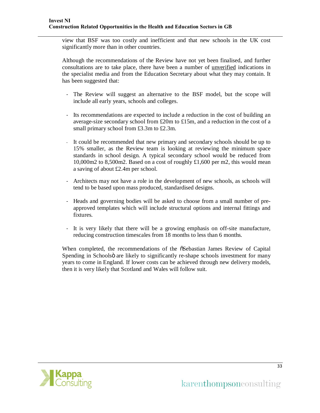view that BSF was too costly and inefficient and that new schools in the UK cost significantly more than in other countries.

Although the recommendations of the Review have not yet been finalised, and further consultations are to take place, there have been a number of unverified indications in the specialist media and from the Education Secretary about what they may contain. It has been suggested that:

- The Review will suggest an alternative to the BSF model, but the scope will include all early years, schools and colleges.
- Its recommendations are expected to include a reduction in the cost of building an average-size secondary school from £20m to £15m, and a reduction in the cost of a small primary school from £3.3m to £2.3m.
- It could be recommended that new primary and secondary schools should be up to 15% smaller, as the Review team is looking at reviewing the minimum space standards in school design. A typical secondary school would be reduced from 10,000m2 to 8,500m2. Based on a cost of roughly £1,600 per m2, this would mean a saving of about £2.4m per school.
- Architects may not have a role in the development of new schools, as schools will tend to be based upon mass produced, standardised designs.
- Heads and governing bodies will be asked to choose from a small number of preapproved templates which will include structural options and internal fittings and fixtures.
- It is very likely that there will be a growing emphasis on off-site manufacture, reducing construction timescales from 18 months to less than 6 months.

When completed, the recommendations of the  $\delta$ Sebastian James Review of Capital Spending in Schoolsö are likely to significantly re-shape schools investment for many years to come in England. If lower costs can be achieved through new delivery models, then it is very likely that Scotland and Wales will follow suit.

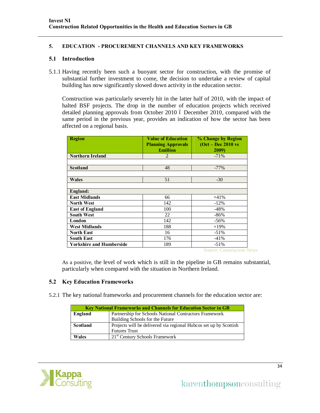# **5. EDUCATION - PROCUREMENT CHANNELS AND KEY FRAMEWORKS**

# **5.1 Introduction**

5.1.1 Having recently been such a buoyant sector for construction, with the promise of substantial further investment to come, the decision to undertake a review of capital building has now significantly slowed down activity in the education sector.

Construction was particularly severely hit in the latter half of 2010, with the impact of halted BSF projects. The drop in the number of education projects which received detailed planning approvals from October 2010  $\acute{o}$  December 2010, compared with the same period in the previous year, provides an indication of how the sector has been affected on a regional basis.

| <b>Region</b>                   | <b>Value of Education</b> | % Change by Region   |
|---------------------------------|---------------------------|----------------------|
|                                 | <b>Planning Approvals</b> | $(Oct - Dec 2010 vs$ |
|                                 | £million                  | 2009)                |
| <b>Northern Ireland</b>         | 2                         | $-71%$               |
|                                 |                           |                      |
| <b>Scotland</b>                 | 48                        | $-77%$               |
|                                 |                           |                      |
| <b>Wales</b>                    | 51                        | $-30$                |
|                                 |                           |                      |
| England:                        |                           |                      |
| <b>East Midlands</b>            | 66                        | $+41%$               |
| <b>North West</b>               | 142                       | $-12%$               |
| <b>East of England</b>          | 100                       | $-48%$               |
| <b>South West</b>               | 22                        | $-86%$               |
| London                          | 142                       | $-56\%$              |
| <b>West Midlands</b>            | 188                       | $+19%$               |
| <b>North East</b>               | 16                        | $-51%$               |
| <b>South East</b>               | 176                       | $-41%$               |
| <b>Yorkshire and Humberside</b> | 189                       | $-51%$               |

Source: Construction News

As a positive, the level of work which is still in the pipeline in GB remains substantial, particularly when compared with the situation in Northern Ireland.

# **5.2 Key Education Frameworks**

5.2.1 The key national frameworks and procurement channels for the education sector are:

| <b>Key National Frameworks and Channels for Education Sector in GB</b> |                                                                   |  |
|------------------------------------------------------------------------|-------------------------------------------------------------------|--|
| England                                                                | Partnership for Schools National Contractors Framework            |  |
|                                                                        | Building Schools for the Future                                   |  |
| <b>Scotland</b>                                                        | Projects will be delivered via regional Hubcos set up by Scottish |  |
|                                                                        | <b>Futures Trust</b>                                              |  |
| Wales                                                                  | 21 <sup>st</sup> Century Schools Framework                        |  |

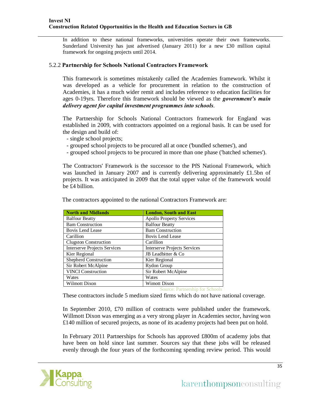In addition to these national frameworks, universities operate their own frameworks. Sunderland University has just advertised (January 2011) for a new £30 million capital framework for ongoing projects until 2014.

### 5.2.2 **Partnership for Schools National Contractors Framework**

This framework is sometimes mistakenly called the Academies framework. Whilst it was developed as a vehicle for procurement in relation to the construction of Academies, it has a much wider remit and includes reference to education facilities for ages 0-19yrs. Therefore this framework should be viewed as the *government's main delivery agent for capital investment programmes into schools*.

The Partnership for Schools National Contractors framework for England was established in 2009, with contractors appointed on a regional basis. It can be used for the design and build of:

- single school projects;
- grouped school projects to be procured all at once ('bundled schemes'), and
- grouped school projects to be procured in more than one phase ('batched schemes').

The Contractors' Framework is the successor to the PfS National Framework, which was launched in January 2007 and is currently delivering approximately £1.5bn of projects. It was anticipated in 2009 that the total upper value of the framework would be £4 billion.

| <b>North and Midlands</b>           | <b>London, South and East</b>       |
|-------------------------------------|-------------------------------------|
| <b>Balfour Beatty</b>               | <b>Apollo Property Services</b>     |
| <b>Bam Construction</b>             | <b>Balfour Beatty</b>               |
| <b>Bovis Lend Lease</b>             | <b>Bam Construction</b>             |
| Carillion                           | Bovis Lend Lease                    |
| <b>Clugston Construction</b>        | Carillion                           |
| <b>Interserve Projects Services</b> | <b>Interserve Projects Services</b> |
| Kier Regional                       | JB Leadbitter & Co                  |
| Shepherd Construction               | Kier Regional                       |
| Sir Robert McAlpine                 | Rydon Group                         |
| <b>VINCI</b> Construction           | Sir Robert McAlpine                 |
| Wates                               | Wates                               |
| Wilmott Dixon                       | <b>Wimott Dixon</b>                 |

The contractors appointed to the national Contractors Framework are:

Source: Partnership for Schools

These contractors include 5 medium sized firms which do not have national coverage.

In September 2010, £70 million of contracts were published under the framework. Willmott Dixon was emerging as a very strong player in Academies sector, having won £140 million of secured projects, as none of its academy projects had been put on hold.

In February 2011 Partnerships for Schools has approved £800m of academy jobs that have been on hold since last summer. Sources say that these jobs will be released evenly through the four years of the forthcoming spending review period. This would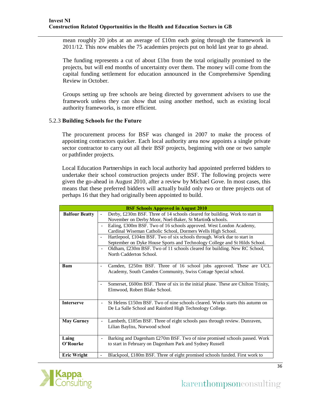mean roughly 20 jobs at an average of £10m each going through the framework in 2011/12. This now enables the 75 academies projects put on hold last year to go ahead.

The funding represents a cut of about £1bn from the total originally promised to the projects, but will end months of uncertainty over them. The money will come from the capital funding settlement for education announced in the Comprehensive Spending Review in October.

Groups setting up free schools are being directed by government advisers to use the framework unless they can show that using another method, such as existing local authority frameworks, is more efficient.

# 5.2.3 **Building Schools for the Future**

The procurement process for BSF was changed in 2007 to make the process of appointing contractors quicker. Each local authority area now appoints a single private sector contractor to carry out all their BSF projects, beginning with one or two sample or pathfinder projects.

Local Education Partnerships in each local authority had appointed preferred bidders to undertake their school construction projects under BSF. The following projects were given the go-ahead in August 2010, after a review by Michael Gove. In most cases, this means that these preferred bidders will actually build only two or three projects out of perhaps 16 that they had originally been appointed to build.

|                       | <b>BSF Schools Approved in August 2010</b>                                                                                                                                                                                                                                                                                                                                                                                                                                                                                                       |
|-----------------------|--------------------------------------------------------------------------------------------------------------------------------------------------------------------------------------------------------------------------------------------------------------------------------------------------------------------------------------------------------------------------------------------------------------------------------------------------------------------------------------------------------------------------------------------------|
| <b>Balfour Beatty</b> | Derby, £230m BSF. Three of 14 schools cleared for building. Work to start in<br>November on Derby Moor, Noel-Baker, St Martings schools.<br>Ealing, £300m BSF. Two of 16 schools approved. West London Academy,<br>Cardinal Wiseman Catholic School, Dormers Wells High School.<br>Hartlepool, £104m BSF. Two of six schools through. Work due to start in<br>September on Dyke House Sports and Technology College and St Hilds School.<br>Oldham, £230m BSF. Two of 11 schools cleared for building. New RC School,<br>North Cadderton School. |
| <b>Bam</b>            | Camden, £250m BSF. Three of 16 school jobs approved. These are UCL<br>Academy, South Camden Community, Swiss Cottage Special school.<br>Somerset, £600m BSF. Three of six in the initial phase. These are Chilton Trinity,<br>Elmwood, Robert Blake School.                                                                                                                                                                                                                                                                                      |
| <b>Interserve</b>     | St Helens £150m BSF. Two of nine schools cleared. Works starts this autumn on<br>De La Salle School and Rainford High Technology College.                                                                                                                                                                                                                                                                                                                                                                                                        |
| <b>May Gurney</b>     | Lambeth, £185m BSF. Three of eight schools pass through review. Dunraven,<br>$\overline{\phantom{a}}$<br>Lilian Bayliss, Norwood school                                                                                                                                                                                                                                                                                                                                                                                                          |
| Laing<br>O'Rourke     | Barking and Dagenham £270m BSF. Two of nine promised schools passed. Work<br>to start in February on Dagenham Park and Sydney Russell                                                                                                                                                                                                                                                                                                                                                                                                            |
| <b>Eric Wright</b>    | Blackpool, £180m BSF. Three of eight promised schools funded. First work to                                                                                                                                                                                                                                                                                                                                                                                                                                                                      |

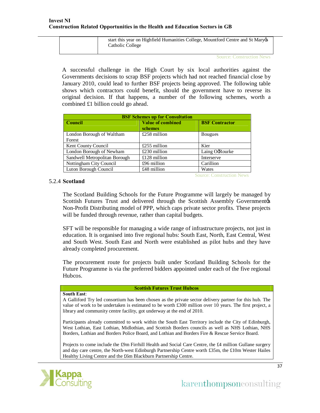|  | start this year on Highfield Humanities College, Mountford Centre and St Maryos |
|--|---------------------------------------------------------------------------------|
|  | Catholic College                                                                |
|  |                                                                                 |

Source: Construction News

A successful challenge in the High Court by six local authorities against the Governments decisions to scrap BSF projects which had not reached financial close by January 2010, could lead to further BSF projects being approved. The following table shows which contractors could benefit, should the government have to reverse its original decision. If that happens, a number of the following schemes, worth a combined £1 billion could go ahead.

|                               | <b>BSF Schemes up for Consultation</b> |                                  |
|-------------------------------|----------------------------------------|----------------------------------|
| <b>Council</b>                | <b>Value of combined</b>               | <b>BSF Contractor</b>            |
|                               | schemes                                |                                  |
| London Borough of Waltham     | $£258$ million                         | <b>B</b> ougues                  |
| Forest                        |                                        |                                  |
| Kent County Council           | £255 million                           | Kier                             |
| London Borough of Newham      | $£230$ million                         | Laing OgRourke                   |
| Sandwell Metropolitan Borough | $£128$ million                         | Interserve                       |
| Nottingham City Council       | £96 million                            | Carillion                        |
| Luton Borough Council         | £48 million                            | Wates                            |
|                               |                                        | <b>Source: Construction News</b> |

### 5.2.4 **Scotland**

The Scotland Building Schools for the Future Programme will largely be managed by Scottish Futures Trust and delivered through the Scottish Assembly Government of Non-Profit Distributing model of PPP, which caps private sector profits. These projects will be funded through revenue, rather than capital budgets.

SFT will be responsible for managing a wide range of infrastructure projects, not just in education. It is organised into five regional hubs: South East, North, East Central, West and South West. South East and North were established as pilot hubs and they have already completed procurement.

The procurement route for projects built under Scotland Building Schools for the Future Programme is via the preferred bidders appointed under each of the five regional Hubcos.

# **Scottish Futures Trust Hubcos South East**: A Galliford Try led consortium has been chosen as the private sector delivery partner for this hub. The value of work to be undertaken is estimated to be worth £300 million over 10 years. The first project, a library and community centre facility, got underway at the end of 2010. Participants already committed to work within the South East Territory include the City of Edinburgh, West Lothian, East Lothian, Midlothian, and Scottish Borders councils as well as NHS Lothian, NHS Borders, Lothian and Borders Police Board, and Lothian and Borders Fire & Rescue Service Board. Projects to come include the £9m Firrhill Health and Social Care Centre, the £4 million Gullane surgery and day care centre, the North-west Edinburgh Partnership Centre worth £35m, the £10m Wester Hailes Healthy Living Centre and the £6m Blackburn Partnership Centre.

### $\equiv$  III  $\sqrt{2}$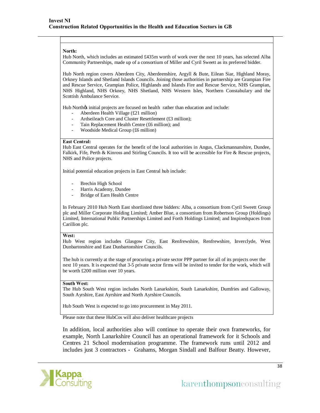#### **North:**

Hub North, which includes an estimated £435m worth of work over the next 10 years, has selected Alba Community Partnerships, made up of a consortium of Miller and Cyril Sweett as its preferred bidder.

Hub North region covers Aberdeen City, Aberdeenshire, Argyll & Bute, Eilean Siar, Highland Moray, Orkney Islands and Sh[etland Islands](http://www.aberdeencity.gov.uk/) Co[uncils. Joining th](http://www.aberdeenshire.gov.uk/)[ose authorities i](http://www.argyll-bute.gov.uk/)[n partnership a](http://www.cne-siar.gov.uk/)[re Grampi](http://www.highland.gov.uk/)[an Fire](http://www.moray.gov.uk/)  [and Rescue](http://www.orkney.gov.uk/) Service, [Grampian Pol](http://www.shetland.gov.uk/)ice, Highlands and Islands Fire and Rescue Service, N[HS Grampian,](http://www.grampianfrs.org.uk/subdreamer/) [NHS Highland,](http://www.grampianfrs.org.uk/subdreamer/) [NHS Orkney,](http://www.grampian.police.uk/) NHS Shetland, [NHS Western Isles, Northern Consta](http://www.hifrs.org/)bulary [and the](http://www.nhsgrampian.org/)  [Scottish Am](http://www.show.scot.nhs.uk/nhshighland)[bulance Service.](http://www.show.scot.nhs.uk/ohb)

Hub Northos initial projects are focused on health rather than education and include:

- Aberdeen Health Village (£21 million)
- Ardseileach Core and Cluster Resettlement (£3 million);
- Tain Replacement Health Centre (£6 million); and
- Woodside Medical Group (£6 million)

#### **East Central:**

Hub East Central operates for the benefit of the local authorities in Angus, Clackmannanshire, Dundee, Falkirk, Fife, Perth & Kinross and Stirling Councils. It too will be [accessibl](http://www.angus.gov.uk/)[e for Fire & Rescue p](http://www.clacks.gov.uk/)[rojects,](http://www.dundeecity.gov.uk/)  [NH](http://www.falkirk.gov.uk/)[S and](http://www.fife.gov.uk/) [Police projects.](http://www.pkc.gov.uk/)

Initial potential education projects in East Central hub include:

- Brechin High School
- Harris Academy, Dundee
- Bridge of Earn Health Centre

In February 2010 Hub North East shortlisted three bidders: Alba, a consortium from Cyril Sweett Group plc and Miller Corporate Holding Limited; Amber Blue, a consortium from Robertson Group (Holdings) Limited, International Public Partnerships Limited and Forth Holdings Limited; and Inspiredspaces from Carillion plc.

#### **West:**

Hub West region includes Glasgow City, East Renfrewshire, Renfrewshire, Inverclyde, West Dunbartonshire and East Dunbartonshire Councils.

[The hub is c](http://www.west-dunbarton.gov.uk/)urre[ntly at the stage of pro](http://www.eastdunbarton.gov.uk/)[curing](http://www.glasgow.gov.uk/) a [private sector PPP par](http://www.eastrenfrewshire.gov.uk/)t[ner for all of its](http://www.renfrewshire.gov.uk/) [projects over t](http://www.inverclyde.gov.uk/)[he](http://www.west-dunbarton.gov.uk/)  next 10 years. It is expected that 3-5 private sector firms will be invited to tender for the work, which will be worth £200 million over 10 years.

#### **South West:**

The Hub South West region includes North Lanarkshire, South Lanarkshire, Dumfries and Galloway, South Ayrshire, East Ayrshire and North Ayrshire Councils.

Hub South West is expected to go into procurement in May 2011.

Please note that these HubCos will also deliver healthcare projects

In addition, local authorities also will continue to operate their own frameworks, for example, North Lanarkshire Council has an operational framework for it Schools and Centres 21 School modernisation programme. The framework runs until 2012 and includes just 3 contractors - Grahams, Morgan Sindall and Balfour Beatty. However,

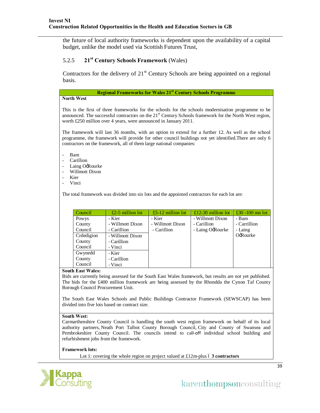the future of local authority frameworks is dependent upon the availability of a capital budget, unlike the model used via Scottish Futures Trust,

# 5.2.5 **21st Century Schools Framework** (Wales)

Contractors for the delivery of  $21<sup>st</sup>$  Century Schools are being appointed on a regional basis.

#### **Regional Frameworks for Wales 21st Century Schools Programme**

# **North West**

This is the first of three frameworks for the schools for the schools modernisation programme to be announced. The successful contractors on the  $21<sup>st</sup>$  Century Schools framework for the North West region, worth £250 million over 4 years, were announced in January 2011.

The framework will last 36 months, with an option to extend for a further 12. As well as the school programme, the framework will provide for other council buildings not yet identified.There are only 6 contractors on the framework, all of them large national companies:

- Bam
- **Carillion**
- Laing OgRourke
- Willmott Dixon
- Kier
- Vinci

The total framework was divided into six lots and the appointed contractors for each lot are:

| Council    | £2-5 million lot | £5-12 million lot | £12-30 million lot | $\pm 30 - 100$ mn lot |
|------------|------------------|-------------------|--------------------|-----------------------|
| Powys      | - Kier           | - Kier            | - Willmott Dixon   | - Bam                 |
| County     | - Willmott Dixon | - Willmott Dixon  | - Carillion        | - Carrillion          |
| Council    | - Carillion      | - Carillion       | - Laing OgRourke   | - Laing               |
| Crdedigion | - Willmott Dixon |                   |                    | <b>O</b> oRourke      |
| County     | - Carillion      |                   |                    |                       |
| Council    | - Vinci          |                   |                    |                       |
| Gwynedd    | - Kier           |                   |                    |                       |
| County     | - Carillion      |                   |                    |                       |
| Council    | - Vinci          |                   |                    |                       |

### **South East Wales:**

Bids are currently being assessed for the South East Wales framework, but results are not yet published. The bids for the £400 million framework are being assessed by the Rhondda the Cynon Taf County Borough Council Procurement Unit.

The South East Wales Schools and Public Buildings Contractor Framework (SEWSCAP) has been divided into five lots based on contract size.

#### **South West:**

Carmarthenshire County Council is handling the south west region framework on behalf of its local authority partners, Neath Port Talbot County Borough Council, City and County of Swansea and Pembrokeshire County Council. The councils intend to call-off individual school building and refurbishment jobs from the framework.

### **Framework lots:**

Lot 1: covering the whole region on project valued at  $£12m$ -plus 6 3 contractors

# $E$ *L*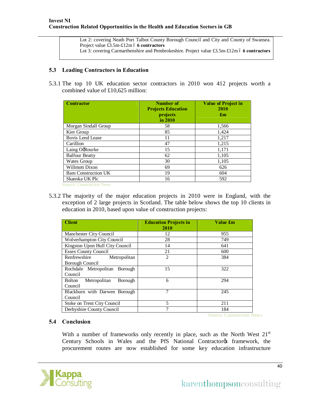Lot 2: covering Neath Port Talbot County Borough Council and City and County of Swansea. Project value £3.5m-£12m 6 **6 contractors** Lot 3: covering Carmarthenshire and Pembrokeshire. Project value £3.5m-£12m 6 6 contractors

# **5.3 Leading Contractors in Education**

5.3.1 The top 10 UK education sector contractors in 2010 won 412 projects worth a combined value of £10,625 million:

| <b>Contractor</b>          | Number of<br><b>Projects Education</b><br>projects<br>in 2010 | <b>Value of Project in</b><br>2010<br>$\mathbf{f}$ m |
|----------------------------|---------------------------------------------------------------|------------------------------------------------------|
| Morgan Sindall Group       | 58                                                            | 1,566                                                |
| Kier Group                 | 85                                                            | 1,424                                                |
| <b>Bovis Lend Lease</b>    | 11                                                            | 1,217                                                |
| Carillion                  | 47                                                            | 1,215                                                |
| Laing OgRourke             | 15                                                            | 1,171                                                |
| <b>Balfour Beatty</b>      | 62                                                            | 1,105                                                |
| Wates Group                | 30                                                            | 1,105                                                |
| <b>Willmott Dixon</b>      | 69                                                            | 626                                                  |
| <b>Bam Construction UK</b> | 19                                                            | 604                                                  |
| Skanska UK Plc             | 16                                                            | 592                                                  |

Source: Construction News

5.3.2 The majority of the major education projects in 2010 were in England, with the exception of 2 large projects in Scotland. The table below shows the top 10 clients in education in 2010, based upon value of construction projects:

| <b>Client</b>                            | <b>Education Projects in</b><br>2010 | Value £m |
|------------------------------------------|--------------------------------------|----------|
| Manchester City Council                  | 12                                   | 955      |
| Wolverhampton City Council               | 28                                   | 749      |
| Kingston Upon Hull City Council          | 14                                   | 641      |
| <b>Essex County Council</b>              | 21                                   | 600      |
| Renfrewshire<br>Metropolitan             | $\overline{2}$                       | 384      |
| Borough Council                          |                                      |          |
| Rochdale Metropolitan<br>Borough         | 15                                   | 322      |
| Council                                  |                                      |          |
| Borough<br><b>Bolton</b><br>Metropolitan | 6                                    | 294      |
| Council                                  |                                      |          |
| Blackburn with Darwen Borough            | 7                                    | 245      |
| Council                                  |                                      |          |
| Stoke on Trent City Council              | 5                                    | 211      |
| Derbyshire County Council                | 7                                    | 184      |

Source: Construction News

### **5.4 Conclusion**

With a number of frameworks only recently in place, such as the North West 21<sup>st</sup> Century Schools in Wales and the PfS National Contractores framework, the procurement routes are now established for some key education infrastructure

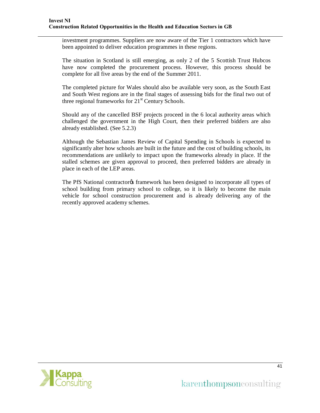investment programmes. Suppliers are now aware of the Tier 1 contractors which have been appointed to deliver education programmes in these regions.

The situation in Scotland is still emerging, as only 2 of the 5 Scottish Trust Hubcos have now completed the procurement process. However, this process should be complete for all five areas by the end of the Summer 2011.

The completed picture for Wales should also be available very soon, as the South East and South West regions are in the final stages of assessing bids for the final two out of three regional frameworks for  $21<sup>st</sup>$  Century Schools.

Should any of the cancelled BSF projects proceed in the 6 local authority areas which challenged the government in the High Court, then their preferred bidders are also already established. (See 5.2.3)

Although the Sebastian James Review of Capital Spending in Schools is expected to significantly alter how schools are built in the future and the cost of building schools, its recommendations are unlikely to impact upon the frameworks already in place. If the stalled schemes are given approval to proceed, then preferred bidders are already in place in each of the LEP areas.

The PfS National contractores framework has been designed to incorporate all types of school building from primary school to college, so it is likely to become the main vehicle for school construction procurement and is already delivering any of the recently approved academy schemes.

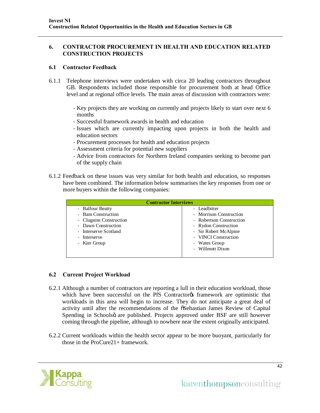# **6. CONTRACTOR PROCUREMENT IN HEALTH AND EDUCATION RELATED CONSTRUCTION PROJECTS**

# **6.1 Contractor Feedback**

- 6.1.1 Telephone interviews were undertaken with circa 20 leading contractors throughout GB. Respondents included those responsible for procurement both at head Office level and at regional office levels. The main areas of discussion with contractors were:
	- Key projects they are working on currently and projects likely to start over next 6 months
	- Successful framework awards in health and education
	- Issues which are currently impacting upon projects in both the health and education sectors
	- Procurement processes for health and education projects
	- Assessment criteria for potential new suppliers
	- Advice from contractors for Northern Ireland companies seeking to become part of the supply chain
- 6.1.2 Feedback on these issues was very similar for both health and education, so responses have been combined. The information below summarises the key responses from one or more buyers within the following companies:

| <b>Contractor Interviews</b> |                          |
|------------------------------|--------------------------|
| - Balfour Beatty             | - Leadbitter             |
| - Bam Construction           | - Morrison Construction  |
| - Clugston Construction      | - Robertson Construction |
| - Dawn Construction          | - Rydon Construction     |
| - Interserve Scotland        | - Sir Robert McAlpine    |
| - Interserve                 | - VINCI Construction     |
| - Kier Group                 | - Wates Group            |
|                              | - Willmott Dixon         |
|                              |                          |

# **6.2 Current Project Workload**

- 6.2.1 Although a number of contractors are reporting a lull in their education workload, those which have been successful on the PfS Contractor of framework are optimistic that workloads in this area will begin to increase. They do not anticipate a great deal of activity until after the recommendations of the "Sebastian James Review of Capital Spending in Schoolsö are published. Projects approved under BSF are still however coming through the pipeline, although to nowhere near the extent originally anticipated.
- 6.2.2 Current workloads within the health sector appear to be more buoyant, particularly for those in the ProCure21+ framework.

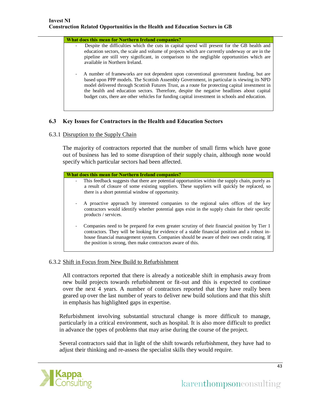|                          | What does this mean for Northern Ireland companies?                                                                                                                                                                                                                                                                                                                                                                                                                                   |
|--------------------------|---------------------------------------------------------------------------------------------------------------------------------------------------------------------------------------------------------------------------------------------------------------------------------------------------------------------------------------------------------------------------------------------------------------------------------------------------------------------------------------|
| -                        | Despite the difficulties which the cuts in capital spend will present for the GB health and<br>education sectors, the scale and volume of projects which are currently underway or are in the<br>pipeline are still very significant, in comparison to the negligible opportunities which are<br>available in Northern Ireland.                                                                                                                                                       |
| $\overline{\phantom{a}}$ | A number of frameworks are not dependent upon conventional government funding, but are<br>based upon PPP models. The Scottish Assembly Government, in particular is viewing its NPD<br>model delivered through Scottish Futures Trust, as a route for protecting capital investment in<br>the health and education sectors. Therefore, despite the negative headlines about capital<br>budget cuts, there are other vehicles for funding capital investment in schools and education. |

# **6.3 Key Issues for Contractors in the Health and Education Sectors**

6.3.1 Disruption to the Supply Chain

The majority of contractors reported that the number of small firms which have gone out of business has led to some disruption of their supply chain, although none would specify which particular sectors had been affected.

| What does this mean for Northern Ireland companies?                                                                                                                                                                                                                                                                                                                 |
|---------------------------------------------------------------------------------------------------------------------------------------------------------------------------------------------------------------------------------------------------------------------------------------------------------------------------------------------------------------------|
| This feedback suggests that there are potential opportunities within the supply chain, purely as<br>$\overline{\phantom{a}}$<br>a result of closure of some existing suppliers. These suppliers will quickly be replaced, so<br>there is a short potential window of opportunity.                                                                                   |
| A proactive approach by interested companies to the regional sales offices of the key<br>۰.<br>contractors would identify whether potential gaps exist in the supply chain for their specific<br>products / services.                                                                                                                                               |
| Companies need to be prepared for even greater scrutiny of their financial position by Tier 1<br>-<br>contractors. They will be looking for evidence of a stable financial position and a robust in-<br>house financial management system. Companies should be aware of their own credit rating. If<br>the position is strong, then make contractors aware of this. |

# 6.3.2 Shift in Focus from New Build to Refurbishment

All contractors reported that there is already a noticeable shift in emphasis away from new build projects towards refurbishment or fit-out and this is expected to continue over the next 4 years. A number of contractors reported that they have really been geared up over the last number of years to deliver new build solutions and that this shift in emphasis has highlighted gaps in expertise.

Refurbishment involving substantial structural change is more difficult to manage, particularly in a critical environment, such as hospital. It is also more difficult to predict in advance the types of problems that may arise during the course of the project.

Several contractors said that in light of the shift towards refurbishment, they have had to adjust their thinking and re-assess the specialist skills they would require.

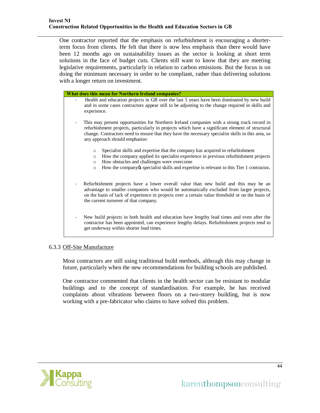One contractor reported that the emphasis on refurbishment is encouraging a shorterterm focus from clients. He felt that there is now less emphasis than there would have been 12 months ago on sustainability issues as the sector is looking at short term solutions in the face of budget cuts. Clients still want to know that they are meeting legislative requirements, particularly in relation to carbon emissions. But the focus is on doing the minimum necessary in order to be compliant, rather than delivering solutions with a longer return on investment.

| What does this mean for Northern Ireland companies?                                                                                                                                                                                                                                                                                                           |
|---------------------------------------------------------------------------------------------------------------------------------------------------------------------------------------------------------------------------------------------------------------------------------------------------------------------------------------------------------------|
| Health and education projects in GB over the last 5 years have been dominated by new build<br>and in some cases contractors appear still to be adjusting to the change required in skills and<br>experience.                                                                                                                                                  |
| This may present opportunities for Northern Ireland companies with a strong track record in<br>refurbishment projects, particularly in projects which have a significant element of structural<br>change. Contractors need to ensure that they have the necessary specialist skills in this area, so<br>any approach should emphasise:                        |
| Specialist skills and expertise that the company has acquired in refurbishment<br>$\circ$<br>How the company applied its specialist experience in previous refurbishment projects<br>$\circ$<br>How obstacles and challenges were overcome<br>$\circ$<br>How the company ts specialist skills and expertise is relevant to this Tier 1 contractor.<br>$\circ$ |
| Refurbishment projects have a lower overall value than new build and this may be an<br>advantage to smaller companies who would be automatically excluded from larger projects,<br>on the basis of lack of experience in projects over a certain value threshold or on the basis of<br>the current turnover of that company.                                  |
| New build projects in both health and education have lengthy lead times and even after the<br>contractor has been appointed, can experience lengthy delays. Refurbishment projects tend to                                                                                                                                                                    |

# 6.3.3 Off-Site Manufacture

get underway within shorter lead times.

Most contractors are still using traditional build methods, although this may change in future, particularly when the new recommendations for building schools are published.

One contractor commented that clients in the health sector can be resistant to modular buildings and to the concept of standardisation. For example, he has received complaints about vibrations between floors on a two-storey building, but is now working with a pre-fabricator who claims to have solved this problem.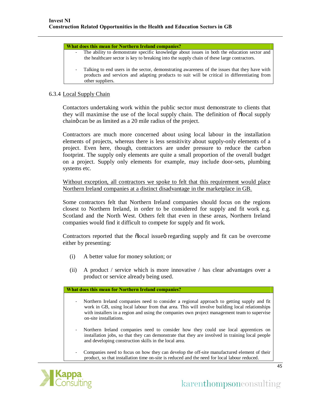**What does this mean for Northern Ireland companies?**

- The ability to demonstrate specific knowledge about issues in both the education sector and the healthcare sector is key to breaking into the supply chain of these large contractors.
- Talking to end users in the sector, demonstrating awareness of the issues that they have with products and services and adapting products to suit will be critical in differentiating from other suppliers.

### 6.3.4 Local Supply Chain

Contactors undertaking work within the public sector must demonstrate to clients that they will maximise the use of the local supply chain. The definition of  $\ddot{\text{o}}$ local supply chaino can be as limited as a 20 mile radius of the project.

Contractors are much more concerned about using local labour in the installation elements of projects, whereas there is less sensitivity about supply-only elements of a project. Even here, though, contractors are under pressure to reduce the carbon footprint. The supply only elements are quite a small proportion of the overall budget on a project. Supply only elements for example, may include door-sets, plumbing systems etc.

Without exception, all contractors we spoke to felt that this requirement would place Northern Ireland companies at a distinct disadvantage in the marketplace in GB.

Some contractors felt that Northern Ireland companies should focus on the regions closest to Northern Ireland, in order to be considered for supply and fit work e.g. Scotland and the North West. Others felt that even in these areas, Northern Ireland companies would find it difficult to compete for supply and fit work.

Contractors reported that the  $\ddot{\text{o}}$  local issue regarding supply and fit can be overcome either by presenting:

- (i) A better value for money solution; or
- (ii) A product / service which is more innovative / has clear advantages over a product or service already being used.

| What does this mean for Northern Ireland companies?                                                                                                                                                                                                                                                                                              |  |
|--------------------------------------------------------------------------------------------------------------------------------------------------------------------------------------------------------------------------------------------------------------------------------------------------------------------------------------------------|--|
| Northern Ireland companies need to consider a regional approach to getting supply and fit<br>$\overline{\phantom{0}}$<br>work in GB, using local labour from that area. This will involve building local relationships<br>with installers in a region and using the companies own project management team to supervise<br>on-site installations. |  |
| Northern Ireland companies need to consider how they could use local apprentices on<br>$\overline{\phantom{a}}$<br>installation jobs, so that they can demonstrate that they are involved in training local people<br>and developing construction skills in the local area.                                                                      |  |
| Companies need to focus on how they can develop the off-site manufactured element of their<br>$\overline{\phantom{0}}$<br>product, so that installation time on-site is reduced and the need for local labour reduced.                                                                                                                           |  |

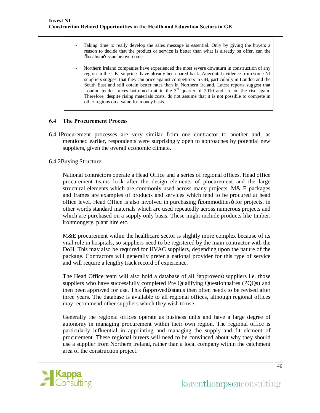- Taking time to really develop the sales message is essential. Only by giving the buyers a reason to decide that the product or service is better than what is already on offer, can the  $\delta$ localism $\ddot{\text{o}}$  issue be overcome.
- Northern Ireland companies have experienced the most severe downturn in construction of any region in the UK, so prices have already been pared back. Anecdotal evidence from some NI suppliers suggest that they can price against competitors in GB, particularly in London and the South East and still obtain better rates than in Northern Ireland. Latest reports suggest that London tender prices bottomed out in the  $3<sup>rd</sup>$  quarter of 2010 and are on the rise again. Therefore, despite rising materials costs, do not assume that it is not possible to compete in other regions on a value for money basis.

### **6.4 The Procurement Process**

6.4.1Procurement processes are very similar from one contractor to another and, as mentioned earlier, respondents were surprisingly open to approaches by potential new suppliers, given the overall economic climate.

### 6.4.2Buying Structure

National contractors operate a Head Office and a series of regional offices. Head office procurement teams look after the design elements of procurement and the large structural elements which are commonly used across many projects. M& E packages and frames are examples of products and services which tend to be procured at head office level. Head Office is also involved in purchasing  $\tilde{o}$ commodities for projects, in other words standard materials which are used repeatedly across numerous projects and which are purchased on a supply only basis. These might include products like timber, ironmongery, plant hire etc.

M&E procurement within the healthcare sector is slightly more complex because of its vital role in hospitals, so suppliers need to be registered by the main contractor with the DoH. This may also be required for HVAC suppliers, depending upon the nature of the package. Contractors will generally prefer a national provider for this type of service and will require a lengthy track record of experience.

The Head Office team will also hold a database of all  $\tilde{a}$  approved  $\tilde{a}$  suppliers i.e. those suppliers who have successfully completed Pre Qualifying Questionnaires (PQQs) and then been approved for use. This õapprovedö status then often needs to be revised after three years. The database is available to all regional offices, although regional offices may recommend other suppliers which they wish to use.

Generally the regional offices operate as business units and have a large degree of autonomy in managing procurement within their own region. The regional office is particularly influential in appointing and managing the supply and fit element of procurement. These regional buyers will need to be convinced about why they should use a supplier from Northern Ireland, rather than a local company within the catchment area of the construction project.

### $\equiv$  III  $\sqrt{2}$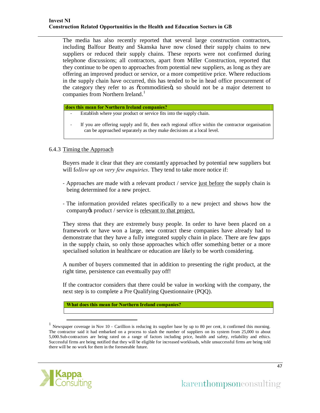The media has also recently reported that several large construction contractors, including Balfour Beatty and Skanska have now closed their supply chains to new suppliers or reduced their supply chains. These reports were not confirmed during telephone discussions; all contractors, apart from Miller Construction, reported that they continue to be open to approaches from potential new suppliers, as long as they are offering an improved product or service, or a more competitive price. Where reductions in the supply chain have occurred, this has tended to be in head office procurement of the category they refer to as  $\ddot{\text{o}}$  commodities is so should not be a major deterrent to companies from Northern Ireland.<sup>1</sup>

**What does this mean for Northern Ireland companies?**

- Establish where your product or service fits into the supply chain.
- If you are offering supply and fit, then each regional office within the contractor organisation can be approached separately as they make decisions at a local level.

### 6.4.3 Timing the Approach

Buyers made it clear that they are constantly approached by potential new suppliers but will f*ollow up on very few enquiries*. They tend to take more notice if:

- Approaches are made with a relevant product / service just before the supply chain is being determined for a new project.
- The information provided relates specifically to a new project and shows how the company os product / service is relevant to that project.

They stress that they are extremely busy people. In order to have been placed on a framework or have won a large, new contract these companies have already had to demonstrate that they have a fully integrated supply chain in place. There are few gaps in the supply chain, so only those approaches which offer something better or a more specialised solution in healthcare or education are likely to be worth considering.

A number of buyers commented that in addition to presenting the right product, at the right time, persistence can eventually pay off!

If the contractor considers that there could be value in working with the company, the next step is to complete a Pre Qualifying Questionnaire (PQQ).

**What does this mean for Northern Ireland companies?**

<sup>&</sup>lt;sup>1</sup> Newspaper coverage in Nov 10 - Carillion is reducing its supplier base by up to 80 per cent, it confirmed this morning. The contractor said it had embarked on a process to slash the number of suppliers on its system from 25,000 to about 5,000.Sub-contractors are being rated on a range of factors including price, health and safety, reliability and ethics. Successful firms are being notified that they will be eligible for increased workloads, while unsuccessful firms are being told there will be no work for them in the foreseeable future.

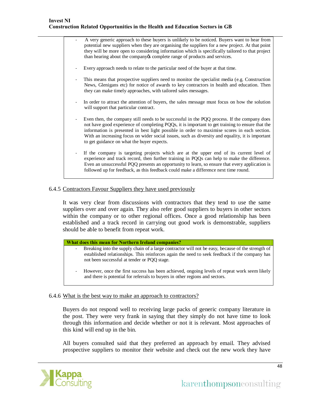

### 6.4.5 Contractors Favour Suppliers they have used previously

It was very clear from discussions with contractors that they tend to use the same suppliers over and over again. They also refer good suppliers to buyers in other sectors within the company or to other regional offices. Once a good relationship has been established and a track record in carrying out good work is demonstrable, suppliers should be able to benefit from repeat work.

|        | What does this mean for Northern Ireland companies?                                                                                                                                                                                               |
|--------|---------------------------------------------------------------------------------------------------------------------------------------------------------------------------------------------------------------------------------------------------|
| $\sim$ | Breaking into the supply chain of a large contractor will not be easy, because of the strength of<br>established relationships. This reinforces again the need to seek feedback if the company has<br>not been successful at tender or POO stage. |
|        | - However, once the first success has been achieved, ongoing levels of repeat work seem likely                                                                                                                                                    |

vever, once the first success has been achieved, ongoing levels of repeat work and there is potential for referrals to buyers in other regions and sectors.

# 6.4.6 What is the best way to make an approach to contractors?

Buyers do not respond well to receiving large packs of generic company literature in the post. They were very frank in saying that they simply do not have time to look through this information and decide whether or not it is relevant. Most approaches of this kind will end up in the bin.

All buyers consulted said that they preferred an approach by email. They advised prospective suppliers to monitor their website and check out the new work they have

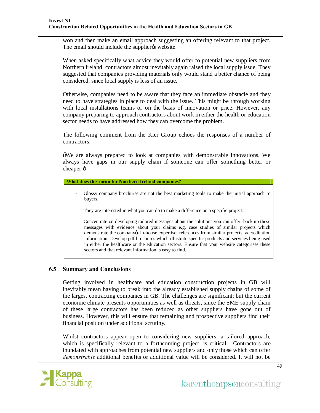won and then make an email approach suggesting an offering relevant to that project. The email should include the supplier the subsite.

When asked specifically what advice they would offer to potential new suppliers from Northern Ireland, contractors almost inevitably again raised the local supply issue. They suggested that companies providing materials only would stand a better chance of being considered, since local supply is less of an issue.

Otherwise, companies need to be aware that they face an immediate obstacle and they need to have strategies in place to deal with the issue. This might be through working with local installations teams or on the basis of innovation or price. However, any company preparing to approach contractors about work in either the health or education sector needs to have addressed how they can overcome the problem.

The following comment from the Kier Group echoes the responses of a number of contractors:

"We are always prepared to look at companies with demonstrable innovations. We always have gaps in our supply chain if someone can offer something better or cheaper.ö

#### **What does this mean for Northern Ireland companies?**

- Glossy company brochures are not the best marketing tools to make the initial approach to buyers.
- They are interested in what you can do to make a difference on a specific project.
- Concentrate on developing tailored messages about the solutions you can offer; back up these messages with evidence about your claims e.g. case studies of similar projects which demonstrate the company in-house expertise, references from similar projects, accreditation information. Develop pdf brochures which illustrate specific products and services being used in either the healthcare or the education sectors. Ensure that your website categorises these sectors and that relevant information is easy to find.

### **6.5 Summary and Conclusions**

Getting involved in healthcare and education construction projects in GB will inevitably mean having to break into the already established supply chains of some of the largest contracting companies in GB. The challenges are significant; but the current economic climate presents opportunities as well as threats, since the SME supply chain of these large contractors has been reduced as other suppliers have gone out of business. However, this will ensure that remaining and prospective suppliers find their financial position under additional scrutiny.

Whilst contractors appear open to considering new suppliers, a tailored approach, which is specifically relevant to a forthcoming project, is critical. Contractors are inundated with approaches from potential new suppliers and only those which can offer *demonstrable* additional benefits or additional value will be considered. It will not be

# $E$ *L*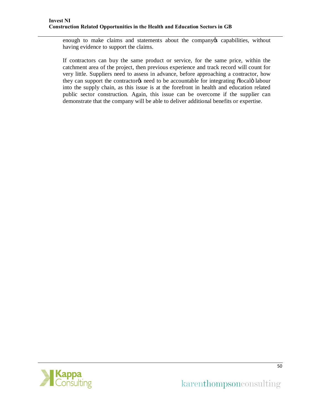enough to make claims and statements about the company o capabilities, without having evidence to support the claims.

If contractors can buy the same product or service, for the same price, within the catchment area of the project, then previous experience and track record will count for very little. Suppliers need to assess in advance, before approaching a contractor, how they can support the contractores need to be accountable for integrating  $\delta$ local abour into the supply chain, as this issue is at the forefront in health and education related public sector construction. Again, this issue can be overcome if the supplier can demonstrate that the company will be able to deliver additional benefits or expertise.

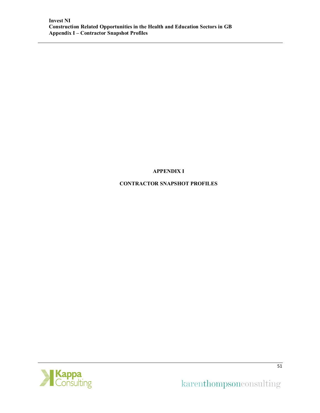# **APPENDIX I**

# **CONTRACTOR SNAPSHOT PROFILES**



karenthompson<br>consulting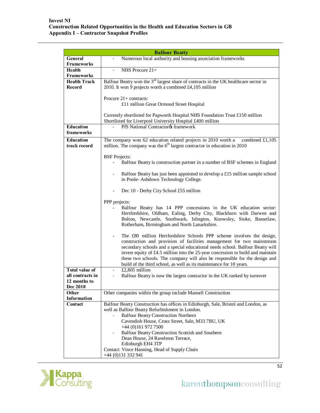| Numerous local authority and housing association frameworks<br>General<br><b>Frameworks</b><br>Health<br>NHS Procure 21+<br>$\overline{\phantom{0}}$<br><b>Frameworks</b><br>Balfour Beatty won the 3 <sup>rd</sup> largest share of contracts in the UK healthcare sector in<br><b>Health Track</b><br>2010. It won 9 projects worth a combined £4,105 million<br>Record<br>Procure $21+$ contracts:<br>£11 million Great Ormond Street Hospital<br>Currently shortlisted for Papworth Hospital NHS Foundation Trust £150 million<br>Shortlisted for Liverpool University Hospital £400 million<br><b>Education</b><br>PfS National Contractor of framework<br>frameworks<br>The company won 62 education related projects in 2010 worth a<br><b>Education</b><br>combined £1,105<br>million. The company was the $6th$ largest contractor in education in 2010<br>track record<br><b>BSF</b> Projects:<br>Balfour Beatty is construction partner in a number of BSF schemes in England<br>Balfour Beatty has just been appointed to develop a £15 million sample school<br>$\sim$<br>in Poole- Ashdown Technology College. |
|------------------------------------------------------------------------------------------------------------------------------------------------------------------------------------------------------------------------------------------------------------------------------------------------------------------------------------------------------------------------------------------------------------------------------------------------------------------------------------------------------------------------------------------------------------------------------------------------------------------------------------------------------------------------------------------------------------------------------------------------------------------------------------------------------------------------------------------------------------------------------------------------------------------------------------------------------------------------------------------------------------------------------------------------------------------------------------------------------------------------------|
|                                                                                                                                                                                                                                                                                                                                                                                                                                                                                                                                                                                                                                                                                                                                                                                                                                                                                                                                                                                                                                                                                                                              |
|                                                                                                                                                                                                                                                                                                                                                                                                                                                                                                                                                                                                                                                                                                                                                                                                                                                                                                                                                                                                                                                                                                                              |
|                                                                                                                                                                                                                                                                                                                                                                                                                                                                                                                                                                                                                                                                                                                                                                                                                                                                                                                                                                                                                                                                                                                              |
|                                                                                                                                                                                                                                                                                                                                                                                                                                                                                                                                                                                                                                                                                                                                                                                                                                                                                                                                                                                                                                                                                                                              |
|                                                                                                                                                                                                                                                                                                                                                                                                                                                                                                                                                                                                                                                                                                                                                                                                                                                                                                                                                                                                                                                                                                                              |
|                                                                                                                                                                                                                                                                                                                                                                                                                                                                                                                                                                                                                                                                                                                                                                                                                                                                                                                                                                                                                                                                                                                              |
|                                                                                                                                                                                                                                                                                                                                                                                                                                                                                                                                                                                                                                                                                                                                                                                                                                                                                                                                                                                                                                                                                                                              |
|                                                                                                                                                                                                                                                                                                                                                                                                                                                                                                                                                                                                                                                                                                                                                                                                                                                                                                                                                                                                                                                                                                                              |
|                                                                                                                                                                                                                                                                                                                                                                                                                                                                                                                                                                                                                                                                                                                                                                                                                                                                                                                                                                                                                                                                                                                              |
|                                                                                                                                                                                                                                                                                                                                                                                                                                                                                                                                                                                                                                                                                                                                                                                                                                                                                                                                                                                                                                                                                                                              |
|                                                                                                                                                                                                                                                                                                                                                                                                                                                                                                                                                                                                                                                                                                                                                                                                                                                                                                                                                                                                                                                                                                                              |
|                                                                                                                                                                                                                                                                                                                                                                                                                                                                                                                                                                                                                                                                                                                                                                                                                                                                                                                                                                                                                                                                                                                              |
|                                                                                                                                                                                                                                                                                                                                                                                                                                                                                                                                                                                                                                                                                                                                                                                                                                                                                                                                                                                                                                                                                                                              |
|                                                                                                                                                                                                                                                                                                                                                                                                                                                                                                                                                                                                                                                                                                                                                                                                                                                                                                                                                                                                                                                                                                                              |
|                                                                                                                                                                                                                                                                                                                                                                                                                                                                                                                                                                                                                                                                                                                                                                                                                                                                                                                                                                                                                                                                                                                              |
|                                                                                                                                                                                                                                                                                                                                                                                                                                                                                                                                                                                                                                                                                                                                                                                                                                                                                                                                                                                                                                                                                                                              |
|                                                                                                                                                                                                                                                                                                                                                                                                                                                                                                                                                                                                                                                                                                                                                                                                                                                                                                                                                                                                                                                                                                                              |
|                                                                                                                                                                                                                                                                                                                                                                                                                                                                                                                                                                                                                                                                                                                                                                                                                                                                                                                                                                                                                                                                                                                              |
|                                                                                                                                                                                                                                                                                                                                                                                                                                                                                                                                                                                                                                                                                                                                                                                                                                                                                                                                                                                                                                                                                                                              |
|                                                                                                                                                                                                                                                                                                                                                                                                                                                                                                                                                                                                                                                                                                                                                                                                                                                                                                                                                                                                                                                                                                                              |
|                                                                                                                                                                                                                                                                                                                                                                                                                                                                                                                                                                                                                                                                                                                                                                                                                                                                                                                                                                                                                                                                                                                              |
|                                                                                                                                                                                                                                                                                                                                                                                                                                                                                                                                                                                                                                                                                                                                                                                                                                                                                                                                                                                                                                                                                                                              |
| Dec 10 - Derby City School £55 million                                                                                                                                                                                                                                                                                                                                                                                                                                                                                                                                                                                                                                                                                                                                                                                                                                                                                                                                                                                                                                                                                       |
|                                                                                                                                                                                                                                                                                                                                                                                                                                                                                                                                                                                                                                                                                                                                                                                                                                                                                                                                                                                                                                                                                                                              |
| PPP projects:                                                                                                                                                                                                                                                                                                                                                                                                                                                                                                                                                                                                                                                                                                                                                                                                                                                                                                                                                                                                                                                                                                                |
| Balfour Beatty has 14 PPP concessions in the UK education sector:                                                                                                                                                                                                                                                                                                                                                                                                                                                                                                                                                                                                                                                                                                                                                                                                                                                                                                                                                                                                                                                            |
| Hertfordshire, Oldham, Ealing, Derby City, Blackburn with Darwen and                                                                                                                                                                                                                                                                                                                                                                                                                                                                                                                                                                                                                                                                                                                                                                                                                                                                                                                                                                                                                                                         |
| Bolton, Newcastle, Southwark, Islington, Knowsley, Stoke, Bassetlaw,                                                                                                                                                                                                                                                                                                                                                                                                                                                                                                                                                                                                                                                                                                                                                                                                                                                                                                                                                                                                                                                         |
| Rotherham, Birmingham and North Lanarkshire.                                                                                                                                                                                                                                                                                                                                                                                                                                                                                                                                                                                                                                                                                                                                                                                                                                                                                                                                                                                                                                                                                 |
| The £80 million Hertfordshire Schools PPP scheme involves the design,                                                                                                                                                                                                                                                                                                                                                                                                                                                                                                                                                                                                                                                                                                                                                                                                                                                                                                                                                                                                                                                        |
| construction and provision of facilities management for two mainstream                                                                                                                                                                                                                                                                                                                                                                                                                                                                                                                                                                                                                                                                                                                                                                                                                                                                                                                                                                                                                                                       |
| secondary schools and a special educational needs school. Balfour Beatty will                                                                                                                                                                                                                                                                                                                                                                                                                                                                                                                                                                                                                                                                                                                                                                                                                                                                                                                                                                                                                                                |
| invest equity of £4.5 million into the 25-year concession to build and maintain                                                                                                                                                                                                                                                                                                                                                                                                                                                                                                                                                                                                                                                                                                                                                                                                                                                                                                                                                                                                                                              |
| these two schools. The company will also be responsible for the design and                                                                                                                                                                                                                                                                                                                                                                                                                                                                                                                                                                                                                                                                                                                                                                                                                                                                                                                                                                                                                                                   |
| build of the third school, as well as its maintenance for 10 years.                                                                                                                                                                                                                                                                                                                                                                                                                                                                                                                                                                                                                                                                                                                                                                                                                                                                                                                                                                                                                                                          |
| <b>Total value of</b><br>£2,805 million<br>$\overline{\phantom{0}}$                                                                                                                                                                                                                                                                                                                                                                                                                                                                                                                                                                                                                                                                                                                                                                                                                                                                                                                                                                                                                                                          |
| all contracts in<br>Balfour Beatty is now the largest contractor in the UK ranked by turnover                                                                                                                                                                                                                                                                                                                                                                                                                                                                                                                                                                                                                                                                                                                                                                                                                                                                                                                                                                                                                                |
| 12 months to                                                                                                                                                                                                                                                                                                                                                                                                                                                                                                                                                                                                                                                                                                                                                                                                                                                                                                                                                                                                                                                                                                                 |
| Dec 2010                                                                                                                                                                                                                                                                                                                                                                                                                                                                                                                                                                                                                                                                                                                                                                                                                                                                                                                                                                                                                                                                                                                     |
| Other companies within the group include Mansell Construction<br>Other                                                                                                                                                                                                                                                                                                                                                                                                                                                                                                                                                                                                                                                                                                                                                                                                                                                                                                                                                                                                                                                       |
| Information                                                                                                                                                                                                                                                                                                                                                                                                                                                                                                                                                                                                                                                                                                                                                                                                                                                                                                                                                                                                                                                                                                                  |
| Balfour Beatty Construction has offices in Edinburgh, Sale, Bristol and London, as<br>Contact                                                                                                                                                                                                                                                                                                                                                                                                                                                                                                                                                                                                                                                                                                                                                                                                                                                                                                                                                                                                                                |
| well as Balfour Beatty Refurbishment in London.                                                                                                                                                                                                                                                                                                                                                                                                                                                                                                                                                                                                                                                                                                                                                                                                                                                                                                                                                                                                                                                                              |
| <b>Balfour Beatty Construction Northern</b>                                                                                                                                                                                                                                                                                                                                                                                                                                                                                                                                                                                                                                                                                                                                                                                                                                                                                                                                                                                                                                                                                  |
| Cavendish House, Cross Street, Sale, M33 7BU, UK                                                                                                                                                                                                                                                                                                                                                                                                                                                                                                                                                                                                                                                                                                                                                                                                                                                                                                                                                                                                                                                                             |
| +44 (0)161 972 7500                                                                                                                                                                                                                                                                                                                                                                                                                                                                                                                                                                                                                                                                                                                                                                                                                                                                                                                                                                                                                                                                                                          |
| Balfour Beatty Construction Scottish and Southern<br>$\overline{\phantom{0}}$<br>Dean House, 24 Ravelston Terrace,                                                                                                                                                                                                                                                                                                                                                                                                                                                                                                                                                                                                                                                                                                                                                                                                                                                                                                                                                                                                           |
| Edinburgh EH4 3TP                                                                                                                                                                                                                                                                                                                                                                                                                                                                                                                                                                                                                                                                                                                                                                                                                                                                                                                                                                                                                                                                                                            |
| Contact: Vince Hanning, Head of Supply Chain                                                                                                                                                                                                                                                                                                                                                                                                                                                                                                                                                                                                                                                                                                                                                                                                                                                                                                                                                                                                                                                                                 |
| +44 (0)131 332 941                                                                                                                                                                                                                                                                                                                                                                                                                                                                                                                                                                                                                                                                                                                                                                                                                                                                                                                                                                                                                                                                                                           |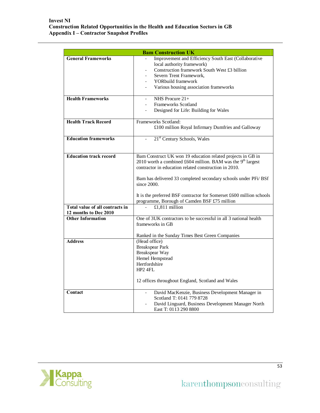|                                                          | <b>Bam Construction UK</b>                                                                                                                                                                                                                                                                                                                                                                                  |
|----------------------------------------------------------|-------------------------------------------------------------------------------------------------------------------------------------------------------------------------------------------------------------------------------------------------------------------------------------------------------------------------------------------------------------------------------------------------------------|
| <b>General Frameworks</b>                                | Improvement and Efficiency South East (Collaborative<br>local authority framework)<br>Construction framework South West £3 billion<br>Severn Trent Framework.<br><b>YORbuild framework</b><br>Various housing association frameworks                                                                                                                                                                        |
| <b>Health Frameworks</b>                                 | NHS Procure 21+<br>$\overline{\phantom{a}}$<br>Frameworks Scotland<br>$\overline{a}$<br>Designed for Life: Building for Wales                                                                                                                                                                                                                                                                               |
| <b>Health Track Record</b>                               | Frameworks Scotland:<br>£100 million Royal Infirmary Dumfries and Galloway                                                                                                                                                                                                                                                                                                                                  |
| <b>Education frameworks</b>                              | 21 <sup>st</sup> Century Schools, Wales                                                                                                                                                                                                                                                                                                                                                                     |
| <b>Education track record</b>                            | Bam Construct UK won 19 education related projects in GB in<br>2010 worth a combined £604 million. BAM was the 9 <sup>th</sup> largest<br>contractor in education related construction in 2010.<br>Bam has delivered 33 completed secondary schools under PFi/BSf<br>since $2000$ .<br>It is the preferred BSF contractor for Somerset £600 million schools<br>programme, Borough of Camden BSF £75 million |
| Total value of all contracts in<br>12 months to Dec 2010 | £1,811 million                                                                                                                                                                                                                                                                                                                                                                                              |
| <b>Other Information</b>                                 | One of 3UK contractors to be successful in all 3 national health<br>frameworks in GB<br>Ranked in the Sunday Times Best Green Companies                                                                                                                                                                                                                                                                     |
| <b>Address</b>                                           | (Head office)<br><b>Breakspear Park</b><br>Breakspear Way<br>Hemel Hempstead<br>Hertfordshire<br>$HP2$ 4FL<br>12 offices throughout England, Scotland and Wales                                                                                                                                                                                                                                             |
| Contact                                                  | David MacKenzie, Business Development Manager in<br>Scotland T: 0141 779 8728<br>David Linguard, Business Development Manager North<br>East T: 0113 290 8800                                                                                                                                                                                                                                                |

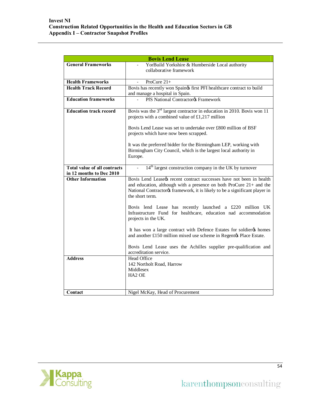| <b>Bovis Lend Lease</b>                              |                                                                                                                                                                                                                                                 |
|------------------------------------------------------|-------------------------------------------------------------------------------------------------------------------------------------------------------------------------------------------------------------------------------------------------|
| <b>General Frameworks</b>                            | YorBuild Yorkshire & Humberside Local authority                                                                                                                                                                                                 |
|                                                      | collaborative framework                                                                                                                                                                                                                         |
| <b>Health Frameworks</b>                             | ProCure 21+<br>$\overline{a}$                                                                                                                                                                                                                   |
| <b>Health Track Record</b>                           | Bovis has recently won Spainøs first PFI healthcare contract to build                                                                                                                                                                           |
|                                                      | and manage a hospital in Spain.                                                                                                                                                                                                                 |
| <b>Education frameworks</b>                          | PfS National Contractor & Framework                                                                                                                                                                                                             |
| <b>Education track record</b>                        | Bovis was the $3rd$ largest contractor in education in 2010. Bovis won 11                                                                                                                                                                       |
|                                                      | projects with a combined value of £1,217 million                                                                                                                                                                                                |
|                                                      |                                                                                                                                                                                                                                                 |
|                                                      | Bovis Lend Lease was set to undertake over £800 million of BSF                                                                                                                                                                                  |
|                                                      | projects which have now been scrapped.                                                                                                                                                                                                          |
|                                                      | It was the preferred bidder for the Birmingham LEP, working with                                                                                                                                                                                |
|                                                      | Birmingham City Council, which is the largest local authority in                                                                                                                                                                                |
|                                                      | Europe.                                                                                                                                                                                                                                         |
|                                                      |                                                                                                                                                                                                                                                 |
| <b>Total value of all contracts</b>                  | 14 <sup>th</sup> largest construction company in the UK by turnover                                                                                                                                                                             |
| in 12 months to Dec 2010<br><b>Other Information</b> |                                                                                                                                                                                                                                                 |
|                                                      | Bovis Lend Leaseøs recent contract successes have not been in health<br>and education, although with a presence on both ProCure $21+$ and the<br>National Contractorøs framework, it is likely to be a significant player in<br>the short term. |
|                                                      | Bovis lend Lease has recently launched a £220 million UK<br>Infrastructure Fund for healthcare, education nad accommodation<br>projects in the UK.                                                                                              |
|                                                      | It has won a large contract with Defence Estates for soldierøs homes<br>and another £150 million mixed use scheme in Regentøs Place Estate.                                                                                                     |
|                                                      | Bovis Lend Lease uses the Achilles supplier pre-qualification and<br>accreditation service.                                                                                                                                                     |
| <b>Address</b>                                       | <b>Head Office</b>                                                                                                                                                                                                                              |
|                                                      | 142 Northolt Road, Harrow                                                                                                                                                                                                                       |
|                                                      | Middlesex                                                                                                                                                                                                                                       |
|                                                      | HA <sub>2</sub> OE                                                                                                                                                                                                                              |
|                                                      |                                                                                                                                                                                                                                                 |
| Contact                                              | Nigel McKay, Head of Procurement                                                                                                                                                                                                                |

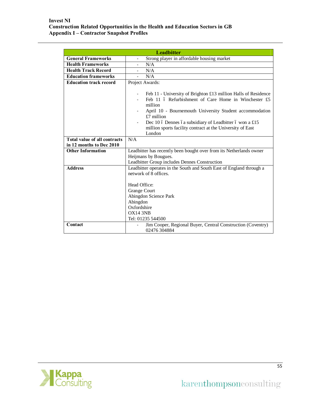|                                                          | <b>Leadbitter</b>                                                                                                                                                                                                                                                                                                                               |
|----------------------------------------------------------|-------------------------------------------------------------------------------------------------------------------------------------------------------------------------------------------------------------------------------------------------------------------------------------------------------------------------------------------------|
| <b>General Frameworks</b>                                | Strong player in affordable housing market                                                                                                                                                                                                                                                                                                      |
| <b>Health Frameworks</b>                                 | N/A                                                                                                                                                                                                                                                                                                                                             |
| <b>Health Track Record</b>                               | N/A<br>-                                                                                                                                                                                                                                                                                                                                        |
| <b>Education frameworks</b>                              | N/A                                                                                                                                                                                                                                                                                                                                             |
| <b>Education track record</b>                            | Project Awards:                                                                                                                                                                                                                                                                                                                                 |
|                                                          | Feb 11 - University of Brighton £13 million Halls of Residence<br>Feb 11 6 Refurbishment of Care Home in Winchester £5<br>million<br>April 10 - Bournemouth University Student accommodation<br>$£7$ million<br>Dec 10 ó Dennes óa subsidiary of Leadbitter ó won a £15<br>million sports facility contract at the University of East<br>London |
| Total value of all contracts<br>in 12 months to Dec 2010 | N/A                                                                                                                                                                                                                                                                                                                                             |
| <b>Other Information</b>                                 | Leadbitter has recently been bought over from its Netherlands owner<br>Heijmans by Bougues.<br>Leadbitter Group includes Dennes Construction                                                                                                                                                                                                    |
| <b>Address</b>                                           | Leadbitter operates in the South and South East of England through a<br>network of 8 offices.<br>Head Office:<br>Grange Court<br>Abingdon Science Park<br>Abingdon<br>Oxfordshire<br>OX14.3NB<br>Tel: 01235 544500                                                                                                                              |
| Contact                                                  | Jim Cooper, Regional Buyer, Central Construction (Coventry)<br>02476 304884                                                                                                                                                                                                                                                                     |

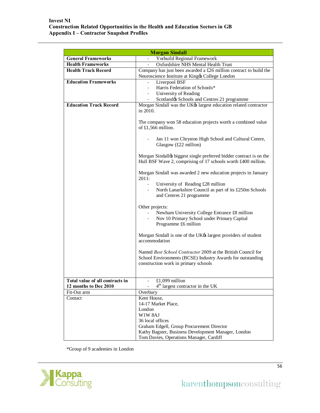|                                                          | <b>Morgan Sindall</b>                                                                                                                                                     |
|----------------------------------------------------------|---------------------------------------------------------------------------------------------------------------------------------------------------------------------------|
| <b>General Frameworks</b>                                | Yorbuild Regional Framework                                                                                                                                               |
| <b>Health Frameworks</b>                                 | Oxfordshire NHS Mental Health Trust                                                                                                                                       |
|                                                          |                                                                                                                                                                           |
| <b>Health Track Record</b>                               | Company has just been awarded a £26 million contract to build the                                                                                                         |
|                                                          | Neuroscience Institute at Kingos College London                                                                                                                           |
| <b>Education Frameworks</b>                              | Liverpool BSF                                                                                                                                                             |
|                                                          | Harris Federation of Schools*                                                                                                                                             |
|                                                          | University of Reading                                                                                                                                                     |
|                                                          | Scotlandøs Schools and Centres 21 programme                                                                                                                               |
| <b>Education Track Record</b>                            | Morgan Sindall was the UK $\alpha$ largest education related contractor                                                                                                   |
|                                                          | in 2010.                                                                                                                                                                  |
|                                                          | The company won 58 education projects worth a combined value<br>of £1,566 million.                                                                                        |
|                                                          | Jan 11 won Chryston High School and Cultural Centre,<br>Glasgow (£22 million)                                                                                             |
|                                                          | Morgan Sindalløs biggest single preferred bidder contract is on the<br>Hull BSF Wave 2, comprising of 17 schools worth £400 million.                                      |
|                                                          | Morgan Sindall was awarded 2 new education projects in January<br>2011:                                                                                                   |
|                                                          | University of Reading £28 million                                                                                                                                         |
|                                                          | North Lanarkshire Council as part of its £250m Schools<br>and Centres 21 programme                                                                                        |
|                                                          | Other projects:<br>Newham University College Entrance £8 million<br>Nov 10 Primary School under Primary Capital<br>Programme £6 million                                   |
|                                                          | Morgan Sindall is one of the UK $\alpha$ largest providers of student<br>accommodation                                                                                    |
|                                                          | Named <i>Best School Contractor</i> 2009 at the British Council for<br>School Environments (BCSE) Industry Awards for outstanding<br>construction work in primary schools |
|                                                          |                                                                                                                                                                           |
| Total value of all contracts in<br>12 months to Dec 2010 | £1,099 million<br>4 <sup>th</sup> largest contractor in the UK                                                                                                            |
| Fit-Out arm                                              | Overbury                                                                                                                                                                  |
| Contact                                                  |                                                                                                                                                                           |
|                                                          | Kent House,                                                                                                                                                               |
|                                                          | 14-17 Market Place,<br>London                                                                                                                                             |
|                                                          |                                                                                                                                                                           |
|                                                          | W1W8AJ                                                                                                                                                                    |
|                                                          | 36 local offices                                                                                                                                                          |
|                                                          | Graham Edgell, Group Procurement Director<br>Kathy Bagster, Business Development Manager, London                                                                          |
|                                                          | Tom Davies, Operations Manager, Cardiff                                                                                                                                   |
|                                                          |                                                                                                                                                                           |

\*Group of 9 academies in London

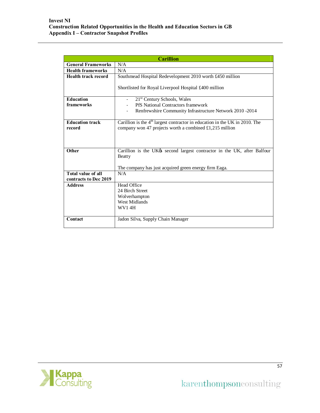|                                                    | <b>Carillion</b>                                                                          |
|----------------------------------------------------|-------------------------------------------------------------------------------------------|
| <b>General Frameworks</b>                          | N/A                                                                                       |
| <b>Health frameworks</b>                           | N/A                                                                                       |
| Health track record                                | Southmead Hospital Redevelopment 2010 worth £450 million                                  |
|                                                    | Shortlisted for Royal Liverpool Hospital £400 million                                     |
| Education                                          | 21 <sup>st</sup> Century Schools, Wales                                                   |
| frameworks                                         | <b>PfS</b> National Contractors framework                                                 |
|                                                    | Renfrewshire Community Infrastructure Network 2010 -2014                                  |
|                                                    |                                                                                           |
| <b>Education track</b>                             | Carillion is the 4 <sup>th</sup> largest contractor in education in the UK in 2010. The   |
| record                                             | company won 47 projects worth a combined $£1,215$ million                                 |
|                                                    |                                                                                           |
| Other                                              | Carillion is the UK $\alpha$ second largest contractor in the UK, after Balfour<br>Beatty |
|                                                    | The company has just acquired green energy firm Eaga.                                     |
| <b>Total value of all</b><br>contracts to Dec 2019 | N/A                                                                                       |
| <b>Address</b>                                     | Head Office                                                                               |
|                                                    | 24 Birch Street                                                                           |
|                                                    | Wolverhampton                                                                             |
|                                                    | <b>West Midlands</b>                                                                      |
|                                                    | <b>WV14H</b>                                                                              |
|                                                    |                                                                                           |
| Contact                                            | Jadon Silva, Supply Chain Manager                                                         |
|                                                    |                                                                                           |

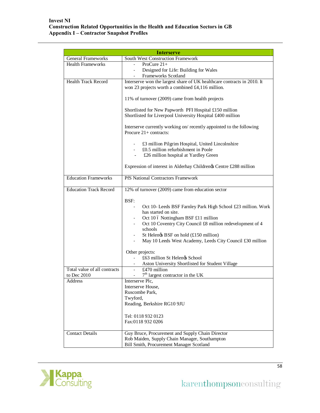| <b>Interserve</b>             |                                                                                                                                                                                                                                                                                                                                                                        |  |
|-------------------------------|------------------------------------------------------------------------------------------------------------------------------------------------------------------------------------------------------------------------------------------------------------------------------------------------------------------------------------------------------------------------|--|
| <b>General Frameworks</b>     | <b>South West Construction Framework</b>                                                                                                                                                                                                                                                                                                                               |  |
| <b>Health Frameworks</b>      | ProCure $21+$                                                                                                                                                                                                                                                                                                                                                          |  |
|                               | Designed for Life: Building for Wales                                                                                                                                                                                                                                                                                                                                  |  |
|                               | Frameworks Scotland                                                                                                                                                                                                                                                                                                                                                    |  |
| <b>Health Track Record</b>    | Interserve won the largest share of UK healthcare contracts in 2010. It                                                                                                                                                                                                                                                                                                |  |
|                               | won 23 projects worth a combined £4,116 million.                                                                                                                                                                                                                                                                                                                       |  |
|                               | 11% of turnover (2009) came from health projects                                                                                                                                                                                                                                                                                                                       |  |
|                               | Shortlisted for New Papworth PFI Hospital £150 million<br>Shortlisted for Liverpool University Hospital £400 million                                                                                                                                                                                                                                                   |  |
|                               | Interserve currently working on/recently appointed to the following<br>Procure 21+ contracts:                                                                                                                                                                                                                                                                          |  |
|                               | £3 million Pilgrim Hospital, United Lincolnshire<br>£0.5 million refurbishment in Poole<br>£26 million hospital at Yardley Green                                                                                                                                                                                                                                       |  |
|                               | Expression of interest in Alderhay Childrenøs Centre £288 million                                                                                                                                                                                                                                                                                                      |  |
| <b>Education Frameworks</b>   | PfS National Contractors Framework                                                                                                                                                                                                                                                                                                                                     |  |
| <b>Education Track Record</b> | 12% of turnover (2009) came from education sector                                                                                                                                                                                                                                                                                                                      |  |
|                               | BSF:<br>Oct 10- Leeds BSF Farnley Park High School £23 million. Work<br>has started on site.<br>Oct 10 ó Nottingham BSF £11 million<br>Oct 10 Coventry City Council £8 million redevelopment of 4<br>schools<br>St Helenøs BSF on hold (£150 million)<br>May 10 Leeds West Academy, Leeds City Council £30 million<br>Other projects:<br>£63 million St Helenøs School |  |
|                               | Aston University Shortlisted for Student Village                                                                                                                                                                                                                                                                                                                       |  |
| Total value of all contracts  | $£470$ million                                                                                                                                                                                                                                                                                                                                                         |  |
| to Dec 2010                   | $7th$ largest contractor in the UK                                                                                                                                                                                                                                                                                                                                     |  |
| Address                       | Interserve Plc,                                                                                                                                                                                                                                                                                                                                                        |  |
|                               | Interserve House,<br>Ruscombe Park,                                                                                                                                                                                                                                                                                                                                    |  |
|                               | Twyford,                                                                                                                                                                                                                                                                                                                                                               |  |
|                               | Reading, Berkshire RG10 9JU                                                                                                                                                                                                                                                                                                                                            |  |
|                               | Tel: 0118 932 0123                                                                                                                                                                                                                                                                                                                                                     |  |
|                               | Fax:0118 932 0206                                                                                                                                                                                                                                                                                                                                                      |  |
| <b>Contact Details</b>        | Guy Bruce, Procurement and Supply Chain Director                                                                                                                                                                                                                                                                                                                       |  |
|                               | Rob Maiden, Supply Chain Manager, Southampton                                                                                                                                                                                                                                                                                                                          |  |
|                               | Bill Smith, Procurement Manager Scotland                                                                                                                                                                                                                                                                                                                               |  |

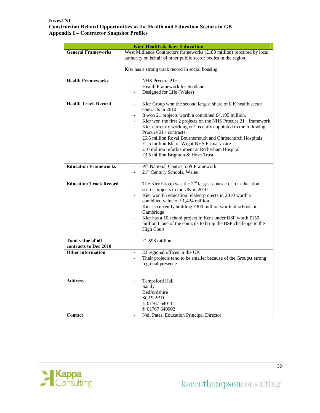# **Invest NI Construction Related Opportunities in the Health and Education Sectors in GB Appendix I – Contractor Snapshot Profiles**

|                               | <b>Kier Health &amp; Kier Education</b>                                                          |
|-------------------------------|--------------------------------------------------------------------------------------------------|
| <b>General Frameworks</b>     | West Midlands Contractors frameworks (£180 million) procured by local                            |
|                               | authority on behalf of other public sector bodies in the region                                  |
|                               |                                                                                                  |
|                               | Kier has a strong track record in social housing                                                 |
| <b>Health Frameworks</b>      | NHS Procure $21+$<br>$\blacksquare$                                                              |
|                               | <b>Health Framework for Scotland</b>                                                             |
|                               | Designed for Life (Wales)                                                                        |
|                               |                                                                                                  |
| <b>Health Track Record</b>    | Kier Group won the second largest share of UK health sector<br>$\overline{\phantom{a}}$          |
|                               | contracts in 2010                                                                                |
|                               | It won 21 projects worth a combined £4,105 million.                                              |
|                               | Kier won the first 2 projects on the NHS Procure 21+ framework                                   |
|                               | Kier currently working on/ recently appointed to the following<br>Procure 21+ contracts:         |
|                               | £6.5 million Royal Bournemouth and Christchurch Hospitals                                        |
|                               | £1.5 million Isle of Wight NHS Primary care                                                      |
|                               | £10 million refurbishment at Rotherham Hospital                                                  |
|                               | £3.5 million Brighton & Hove Trust                                                               |
|                               |                                                                                                  |
| <b>Education Frameworks</b>   | Pfs National Contractores Framework<br>21 <sup>st</sup> Century Schools, Wales<br>$\blacksquare$ |
|                               |                                                                                                  |
| <b>Education Track Record</b> | The Kier Group was the $2nd$ largest contractor for education<br>$\blacksquare$                  |
|                               | sector projects in the UK in 2010                                                                |
|                               | Kier won 85 education related projects in 2010 worth a                                           |
|                               | combined value of £1,424 million                                                                 |
|                               | Kier is currently building £300 million worth of schools in                                      |
|                               | Cambridge<br>Kier has a 10 school project in Kent under BSF worth £150                           |
|                               | million 6 one of the councils to bring the BSF challenge to the                                  |
|                               | <b>High Court</b>                                                                                |
|                               |                                                                                                  |
| <b>Total value of all</b>     | £1,598 million                                                                                   |
| contracts to Dec 2010         |                                                                                                  |
| <b>Other information</b>      | 32 regional offices in the UK                                                                    |
|                               | Their projects tend to be smaller because of the Groupos strong<br>regional presence             |
|                               |                                                                                                  |
|                               |                                                                                                  |
| <b>Address</b>                | <b>Tempsford Hall</b>                                                                            |
|                               | Sandy                                                                                            |
|                               | Bedfordshire                                                                                     |
|                               | <b>SG19 2BD</b>                                                                                  |
|                               | t: 01767 640111<br>f: 01767 640002                                                               |
| Contact                       | Neil Pates, Education Principal Director<br>$\qquad \qquad \blacksquare$                         |
|                               |                                                                                                  |

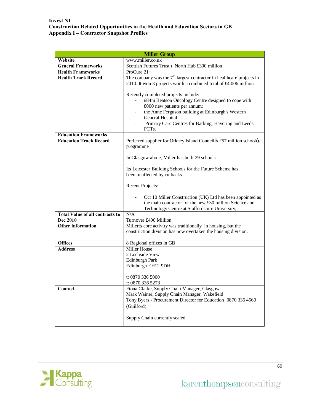| <b>Miller Group</b>                    |                                                                                                                                                                                                                                                                                    |
|----------------------------------------|------------------------------------------------------------------------------------------------------------------------------------------------------------------------------------------------------------------------------------------------------------------------------------|
| Website                                | www.miller.co.uk                                                                                                                                                                                                                                                                   |
| <b>General Frameworks</b>              | Scottish Futures Trust 6 North Hub £300 million                                                                                                                                                                                                                                    |
| <b>Health Frameworks</b>               | ProCure $21+$                                                                                                                                                                                                                                                                      |
| <b>Health Track Record</b>             | The company was the $7th$ largest contractor in healthcare projects in<br>2010. It won 3 projects worth a combined total of £4,006 million                                                                                                                                         |
|                                        | Recently completed projects include:<br>£84m Beatson Oncology Centre designed to cope with<br>8000 new patients per annum;<br>the Anne Ferguson building at Edinburgh's Western<br>General Hospital;<br>Primary Care Centres for Barking, Havering and Leeds<br>PCT <sub>s</sub> . |
| <b>Education Frameworks</b>            |                                                                                                                                                                                                                                                                                    |
| <b>Education Track Record</b>          | Preferred supplier for Orkney Island Council & £57 million school &<br>programme                                                                                                                                                                                                   |
|                                        | In Glasgow alone, Miller has built 29 schools                                                                                                                                                                                                                                      |
|                                        | Its Leicester Building Schools for the Future Scheme has<br>been unaffected by cutbacks                                                                                                                                                                                            |
|                                        | Recent Projects:                                                                                                                                                                                                                                                                   |
|                                        | Oct 10 Miller Construction (UK) Ltd has been appointed as<br>the main contractor for the new £30 million Science and<br>Technology Centre at Staffordshire University,                                                                                                             |
| <b>Total Value of all contracts to</b> | N/A                                                                                                                                                                                                                                                                                |
| Dec 2010                               | Turnover £400 Million $+$                                                                                                                                                                                                                                                          |
| <b>Other information</b>               | Millerøs core activity was traditionally in housing, but the<br>construction division has now overtaken the housing division.                                                                                                                                                      |
| <b>Offices</b>                         | 8 Regional offices in GB                                                                                                                                                                                                                                                           |
| Address                                | Miller House<br>2 Lochside View<br>Edinburgh Park<br>Edinburgh EH12 9DH<br>t: 0870 336 5000<br>f: 0870 336 5273                                                                                                                                                                    |
| Contact                                | Fiona Clarke, Supply Chain Manager, Glasgow<br>Mark Wainer, Supply Chain Manager, Wakefield<br>Tony Byers - Procurement Director for Education 0870 336 4560<br>(Guilford)<br>Supply Chain currently sealed                                                                        |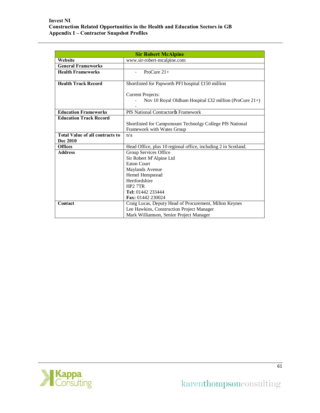|                                        | <b>Sir Robert McAlpine</b>                                     |  |
|----------------------------------------|----------------------------------------------------------------|--|
| Website                                | www.sir-robert-mcalpine.com                                    |  |
| <b>General Frameworks</b>              |                                                                |  |
| <b>Health Frameworks</b>               | ProCure $21+$                                                  |  |
|                                        |                                                                |  |
| <b>Health Track Record</b>             | Shortlisted for Papworth PFI hospital £150 million             |  |
|                                        |                                                                |  |
|                                        | <b>Current Projects:</b>                                       |  |
|                                        | Nov 10 Royal Oldham Hospital £32 million (ProCure $21+$ )      |  |
|                                        |                                                                |  |
| <b>Education Frameworks</b>            | PfS National Contractores Framework                            |  |
| <b>Education Track Record</b>          |                                                                |  |
|                                        | Shortlisted for Campsmount Technolgy College PfS National      |  |
|                                        | Framework with Wates Group                                     |  |
| <b>Total Value of all contracts to</b> | n/a                                                            |  |
| <b>Dec 2010</b>                        |                                                                |  |
| <b>Offices</b>                         | Head Office, plus 10 regional office, including 2 in Scotland. |  |
| <b>Address</b>                         | Group Services Office                                          |  |
|                                        | Sir Robert M <sup>c</sup> Alpine Ltd                           |  |
|                                        | <b>Eaton Court</b>                                             |  |
|                                        | Maylands Avenue                                                |  |
|                                        | Hemel Hempstead                                                |  |
|                                        | Hertfordshire                                                  |  |
|                                        | HP2.7TR                                                        |  |
|                                        | Tel: 01442 233444                                              |  |
|                                        | Fax: 01442 230024                                              |  |
| Contact                                | Craig Lucas, Deputy Head of Procurement, Milton Keynes         |  |
|                                        | Lee Hawkins, Construction Project Manager                      |  |
|                                        | Mark Williamson, Senior Project Manager                        |  |

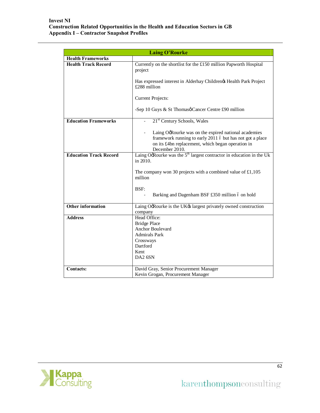| <b>Laing O'Rourke</b>         |                                                                                                                                                                                          |
|-------------------------------|------------------------------------------------------------------------------------------------------------------------------------------------------------------------------------------|
| <b>Health Frameworks</b>      |                                                                                                                                                                                          |
| <b>Health Track Record</b>    | Currently on the shortlist for the £150 million Papworth Hospital<br>project                                                                                                             |
|                               | Has expressed interest in Alderhay Childrenøs Health Park Project<br>£288 million                                                                                                        |
|                               | <b>Current Projects:</b>                                                                                                                                                                 |
|                               | -Sep 10 Guys & St Thomasø Cancer Centre £90 million                                                                                                                                      |
| <b>Education Frameworks</b>   | 21 <sup>st</sup> Century Schools, Wales                                                                                                                                                  |
|                               | Laing OcRourke was on the expired national academies<br>framework running to early 2011 6 but has not got a place<br>on its £4bn replacement, which began operation in<br>December 2010. |
| <b>Education Track Record</b> | Laing OgRourke was the $5th$ largest contractor in education in the Uk<br>in 2010.                                                                                                       |
|                               | The company won 30 projects with a combined value of $£1,105$<br>million                                                                                                                 |
|                               | BSF:<br>Barking and Dagenham BSF £350 million 6 on hold                                                                                                                                  |
| Other information             | Laing OgRourke is the UK $\alpha$ largest privately owned construction<br>company                                                                                                        |
| <b>Address</b>                | Head Office:<br><b>Bridge Place</b><br>Anchor Boulevard<br><b>Admirals Park</b><br>Crossways<br>Dartford<br>Kent<br>DA2 6SN                                                              |
| <b>Contacts:</b>              | David Gray, Senior Procurement Manager<br>Kevin Grogan, Procurement Manager                                                                                                              |

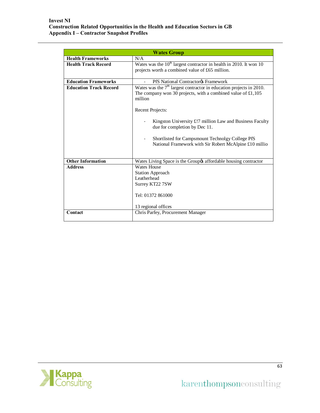| <b>Wates Group</b>            |                                                                                                                                                                                                                                                                   |
|-------------------------------|-------------------------------------------------------------------------------------------------------------------------------------------------------------------------------------------------------------------------------------------------------------------|
| <b>Health Frameworks</b>      | N/A                                                                                                                                                                                                                                                               |
| <b>Health Track Record</b>    | Wates was the $10th$ largest contractor in health in 2010. It won 10                                                                                                                                                                                              |
|                               | projects worth a combined value of £65 million.                                                                                                                                                                                                                   |
|                               |                                                                                                                                                                                                                                                                   |
| <b>Education Frameworks</b>   | PfS National Contractores Framework                                                                                                                                                                                                                               |
| <b>Education Track Record</b> | Wates was the $7th$ largest contractor in education projects in 2010.<br>The company won 30 projects, with a combined value of £1,105<br>million<br>Recent Projects:<br>Kingston University £!7 million Law and Business Faculty<br>due for completion by Dec 11. |
|                               | Shortlisted for Campsmount Technolgy College PfS<br>National Framework with Sir Robert McAlpine £10 millio                                                                                                                                                        |
| <b>Other Information</b>      | Wates Living Space is the Groupos affordable housing contractor                                                                                                                                                                                                   |
| <b>Address</b>                | <b>Wates House</b><br><b>Station Approach</b><br>Leatherhead<br>Surrey KT22 7SW<br>Tel: 01372 861000<br>13 regional offices                                                                                                                                       |
| Contact                       | Chris Parfey, Procurement Manager                                                                                                                                                                                                                                 |

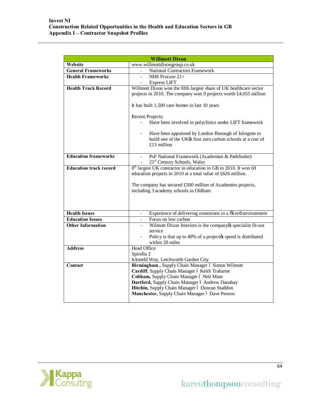|                               | <b>Willmott Dixon</b>                                                                                             |
|-------------------------------|-------------------------------------------------------------------------------------------------------------------|
| Website                       | www.willmottdixongroup.co.uk                                                                                      |
| <b>General Frameworks</b>     | <b>National Contractors Framework</b>                                                                             |
| <b>Health Frameworks</b>      | NHS Procure $21+$                                                                                                 |
|                               | <b>Express LIFT</b>                                                                                               |
| <b>Health Track Record</b>    | Willmott Dixon won the fifth largest share of UK healthcare sector                                                |
|                               | projects in 2010. The company won 9 projects worth £4,055 million                                                 |
|                               |                                                                                                                   |
|                               | It has built 1,500 care homes in last 10 years                                                                    |
|                               | <b>Recent Projects:</b>                                                                                           |
|                               | Have been involved in polyclinics under LIFT framework                                                            |
|                               |                                                                                                                   |
|                               | Have been appointed by London Borough of Islington to                                                             |
|                               | build one of the UK $\alpha$ first zero carbon schools at a cost of                                               |
|                               | $£13$ million                                                                                                     |
| <b>Education frameworks</b>   |                                                                                                                   |
|                               | PsF National Framework (Academies & Pathfinder)<br>21 <sup>st</sup> Century Schools, Wales<br>$\omega_{\rm{max}}$ |
| <b>Education track record</b> | 8 <sup>th</sup> largest UK contractor in education in GB in 2010. It won 69                                       |
|                               | education projects in 2010 at a total value of £626 million.                                                      |
|                               |                                                                                                                   |
|                               | The company has secured £500 million of Academies projects,                                                       |
|                               | including 3 academy schools in Oldham                                                                             |
|                               |                                                                                                                   |
|                               |                                                                                                                   |
|                               |                                                                                                                   |
| <b>Health Issues</b>          | Experience of delivering extensions in a õliveö environment<br>÷,                                                 |
| <b>Education Issues</b>       | Focus on low carbon                                                                                               |
| <b>Other Information</b>      | Wilmott Dixon Interiors is the company os specialist fit-out                                                      |
|                               | service<br>Policy is that up to 40% of a project ts spend is distributed                                          |
|                               | within 20 miles                                                                                                   |
| <b>Address</b>                | <b>Head Office</b>                                                                                                |
|                               | Spirella 2                                                                                                        |
|                               | Icknield Way, Letchworth Garden City                                                                              |
| Contact                       | Birmingham, Supply Chain Manager ó Simon Wilmott                                                                  |
|                               | Cardiff, Supply Chain Manager ó Keith Traharne                                                                    |
|                               | Cobham, Supply Chain Manager ó Neil Mant                                                                          |
|                               | Dartford, Supply Chain Manager ó Andrew Danahay                                                                   |
|                               | Hitchin, Supply Chain Manager ó Duncan Staddon                                                                    |
|                               | Manchester, Supply Chain Manager ó Dave Pennoc                                                                    |
|                               |                                                                                                                   |

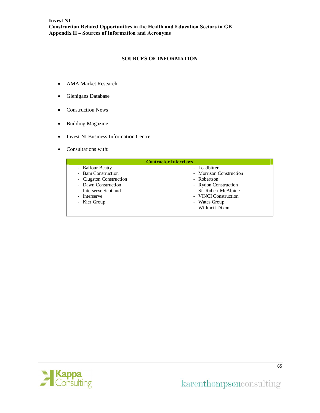### **SOURCES OF INFORMATION**

- · AMA Market Research
- · Glenigans Database
- Construction News
- · Building Magazine
- · Invest NI Business Information Centre
- · Consultations with:

| <b>Contractor Interviews</b> |                         |
|------------------------------|-------------------------|
| - Balfour Beatty             | - Leadbitter            |
| - Bam Construction           | - Morrison Construction |
| - Clugston Construction      | - Robertson             |
| - Dawn Construction          | - Rydon Construction    |
| - Interserve Scotland        | - Sir Robert McAlpine   |
| - Interserve                 | - VINCI Construction    |
| - Kier Group                 | - Wates Group           |
|                              | - Willmott Dixon        |
|                              |                         |